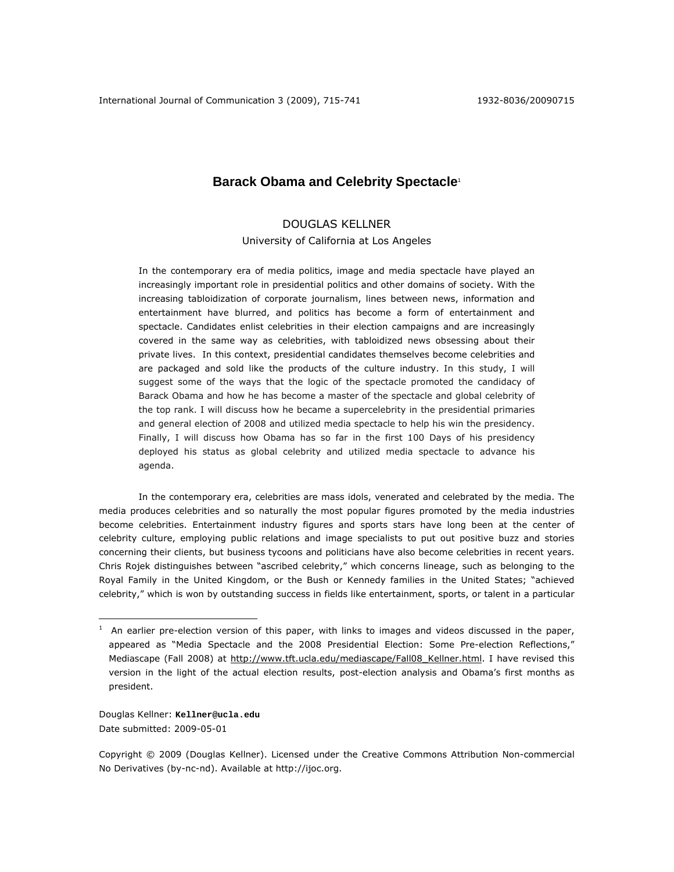# **Barack Obama and Celebrity Spectacle**<sup>1</sup>

# DOUGLAS KELLNER

University of California at Los Angeles

In the contemporary era of media politics, image and media spectacle have played an increasingly important role in presidential politics and other domains of society. With the increasing tabloidization of corporate journalism, lines between news, information and entertainment have blurred, and politics has become a form of entertainment and spectacle. Candidates enlist celebrities in their election campaigns and are increasingly covered in the same way as celebrities, with tabloidized news obsessing about their private lives. In this context, presidential candidates themselves become celebrities and are packaged and sold like the products of the culture industry. In this study, I will suggest some of the ways that the logic of the spectacle promoted the candidacy of Barack Obama and how he has become a master of the spectacle and global celebrity of the top rank. I will discuss how he became a supercelebrity in the presidential primaries and general election of 2008 and utilized media spectacle to help his win the presidency. Finally, I will discuss how Obama has so far in the first 100 Days of his presidency deployed his status as global celebrity and utilized media spectacle to advance his agenda.

In the contemporary era, celebrities are mass idols, venerated and celebrated by the media. The media produces celebrities and so naturally the most popular figures promoted by the media industries become celebrities. Entertainment industry figures and sports stars have long been at the center of celebrity culture, employing public relations and image specialists to put out positive buzz and stories concerning their clients, but business tycoons and politicians have also become celebrities in recent years. Chris Rojek distinguishes between "ascribed celebrity," which concerns lineage, such as belonging to the Royal Family in the United Kingdom, or the Bush or Kennedy families in the United States; "achieved celebrity," which is won by outstanding success in fields like entertainment, sports, or talent in a particular

Douglas Kellner: **Kellner@ucla.edu** Date submitted: 2009-05-01

 $\overline{a}$ 

Copyright © 2009 (Douglas Kellner). Licensed under the Creative Commons Attribution Non-commercial No Derivatives (by-nc-nd). Available at http://ijoc.org.

 $1$  An earlier pre-election version of this paper, with links to images and videos discussed in the paper, appeared as "Media Spectacle and the 2008 Presidential Election: Some Pre-election Reflections," *Mediascape* (Fall 2008) at http://www.tft.ucla.edu/mediascape/Fall08\_Kellner.html. I have revised this version in the light of the actual election results, post-election analysis and Obama's first months as president.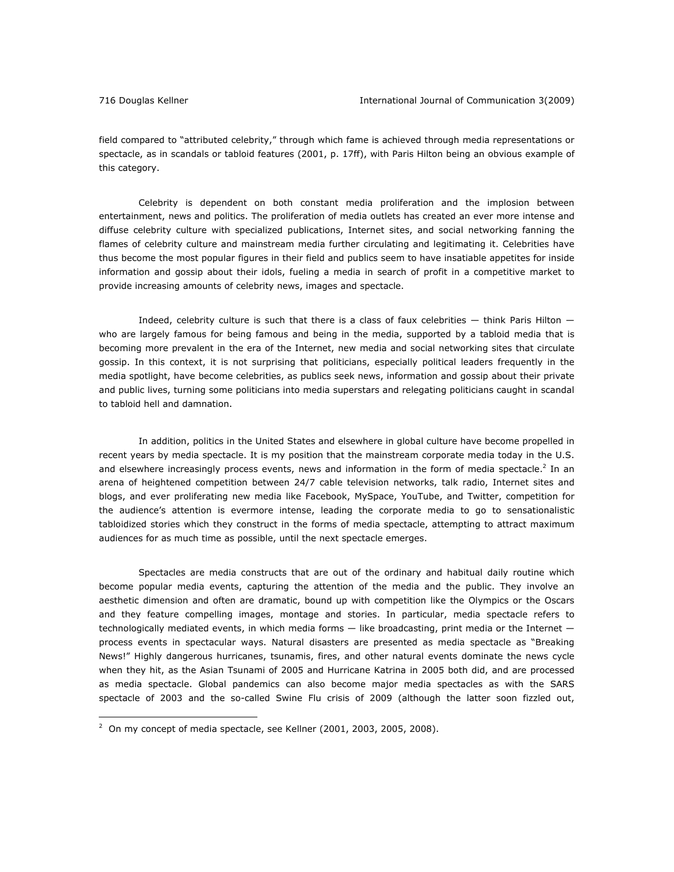field compared to "attributed celebrity," through which fame is achieved through media representations or spectacle, as in scandals or tabloid features (2001, p. 17ff), with Paris Hilton being an obvious example of this category.

Celebrity is dependent on both constant media proliferation and the implosion between entertainment, news and politics. The proliferation of media outlets has created an ever more intense and diffuse celebrity culture with specialized publications, Internet sites, and social networking fanning the flames of celebrity culture and mainstream media further circulating and legitimating it. Celebrities have thus become the most popular figures in their field and publics seem to have insatiable appetites for inside information and gossip about their idols, fueling a media in search of profit in a competitive market to provide increasing amounts of celebrity news, images and spectacle.

Indeed, celebrity culture is such that there is a class of faux celebrities — think Paris Hilton who are largely famous for being famous and being in the media, supported by a tabloid media that is becoming more prevalent in the era of the Internet, new media and social networking sites that circulate gossip. In this context, it is not surprising that politicians, especially political leaders frequently in the media spotlight, have become celebrities, as publics seek news, information and gossip about their private and public lives, turning some politicians into media superstars and relegating politicians caught in scandal to tabloid hell and damnation.

 In addition, politics in the United States and elsewhere in global culture have become propelled in recent years by media spectacle. It is my position that the mainstream corporate media today in the U.S. and elsewhere increasingly process events, news and information in the form of media spectacle.<sup>2</sup> In an arena of heightened competition between 24/7 cable television networks, talk radio, Internet sites and blogs, and ever proliferating new media like Facebook, MySpace, YouTube, and Twitter, competition for the audience's attention is evermore intense, leading the corporate media to go to sensationalistic tabloidized stories which they construct in the forms of media spectacle, attempting to attract maximum audiences for as much time as possible, until the next spectacle emerges.

 Spectacles are media constructs that are out of the ordinary and habitual daily routine which become popular media events, capturing the attention of the media and the public. They involve an aesthetic dimension and often are dramatic, bound up with competition like the Olympics or the Oscars and they feature compelling images, montage and stories. In particular, media spectacle refers to technologically mediated events, in which media forms - like broadcasting, print media or the Internet process events in spectacular ways. Natural disasters are presented as media spectacle as "Breaking News!" Highly dangerous hurricanes, tsunamis, fires, and other natural events dominate the news cycle when they hit, as the Asian Tsunami of 2005 and Hurricane Katrina in 2005 both did, and are processed as media spectacle. Global pandemics can also become major media spectacles as with the SARS spectacle of 2003 and the so-called Swine Flu crisis of 2009 (although the latter soon fizzled out,

 $2$  On my concept of media spectacle, see Kellner (2001, 2003, 2005, 2008).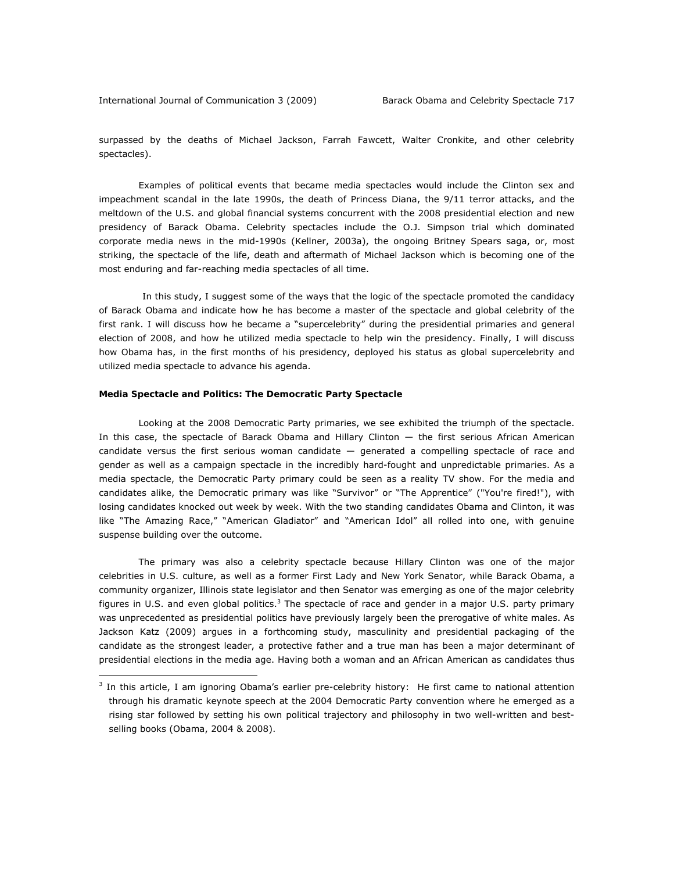surpassed by the deaths of Michael Jackson, Farrah Fawcett, Walter Cronkite, and other celebrity spectacles).

Examples of political events that became media spectacles would include the Clinton sex and impeachment scandal in the late 1990s, the death of Princess Diana, the 9/11 terror attacks, and the meltdown of the U.S. and global financial systems concurrent with the 2008 presidential election and new presidency of Barack Obama. Celebrity spectacles include the O.J. Simpson trial which dominated corporate media news in the mid-1990s (Kellner, 2003a), the ongoing Britney Spears saga, or, most striking, the spectacle of the life, death and aftermath of Michael Jackson which is becoming one of the most enduring and far-reaching media spectacles of all time.

 In this study, I suggest some of the ways that the logic of the spectacle promoted the candidacy of Barack Obama and indicate how he has become a master of the spectacle and global celebrity of the first rank. I will discuss how he became a "supercelebrity" during the presidential primaries and general election of 2008, and how he utilized media spectacle to help win the presidency. Finally, I will discuss how Obama has, in the first months of his presidency, deployed his status as global supercelebrity and utilized media spectacle to advance his agenda.

# *Media Spectacle and Politics: The Democratic Party Spectacle*

 $\overline{a}$ 

Looking at the 2008 Democratic Party primaries, we see exhibited the triumph of the spectacle. In this case, the spectacle of Barack Obama and Hillary Clinton — the first serious African American candidate versus the first serious woman candidate — generated a compelling spectacle of race and gender as well as a campaign spectacle in the incredibly hard-fought and unpredictable primaries. As a media spectacle, the Democratic Party primary could be seen as a reality TV show. For the media and candidates alike, the Democratic primary was like "Survivor" or "The Apprentice" ("You're fired!"), with losing candidates knocked out week by week. With the two standing candidates Obama and Clinton, it was like "The Amazing Race," "American Gladiator" and "American Idol" all rolled into one, with genuine suspense building over the outcome.

The primary was also a celebrity spectacle because Hillary Clinton was one of the major celebrities in U.S. culture, as well as a former First Lady and New York Senator, while Barack Obama, a community organizer, Illinois state legislator and then Senator was emerging as one of the major celebrity figures in U.S. and even global politics.<sup>3</sup> The spectacle of race and gender in a major U.S. party primary was unprecedented as presidential politics have previously largely been the prerogative of white males. As Jackson Katz (2009) argues in a forthcoming study, masculinity and presidential packaging of the candidate as the strongest leader, a protective father and a true man has been a major determinant of presidential elections in the media age. Having both a woman and an African American as candidates thus

<sup>&</sup>lt;sup>3</sup> In this article, I am ignoring Obama's earlier pre-celebrity history: He first came to national attention through his dramatic keynote speech at the 2004 Democratic Party convention where he emerged as a rising star followed by setting his own political trajectory and philosophy in two well-written and bestselling books (Obama, 2004 & 2008).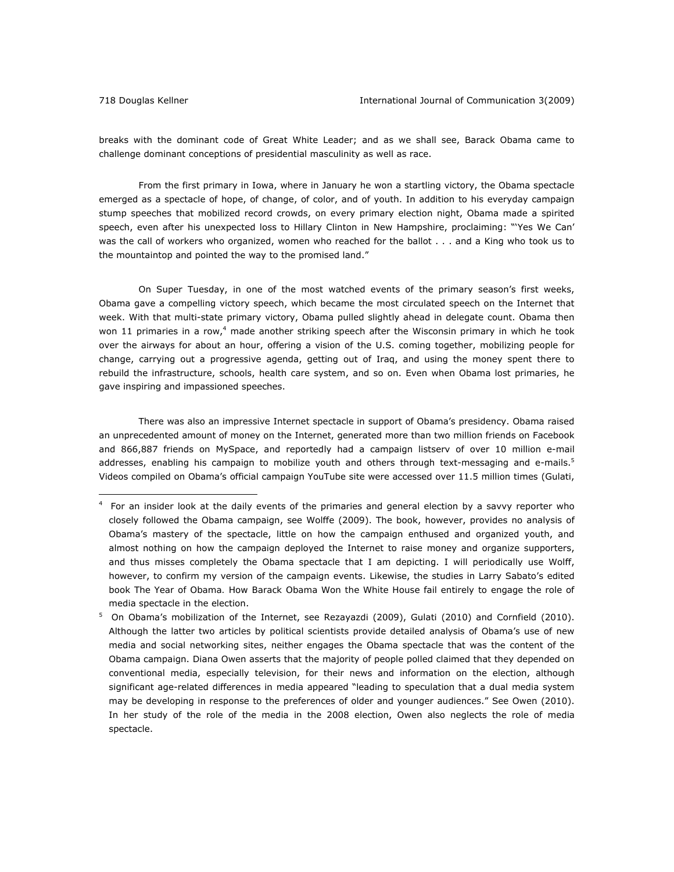breaks with the dominant code of Great White Leader; and as we shall see, Barack Obama came to challenge dominant conceptions of presidential masculinity as well as race.

From the first primary in Iowa, where in January he won a startling victory, the Obama spectacle emerged as a spectacle of hope, of change, of color, and of youth. In addition to his everyday campaign stump speeches that mobilized record crowds, on every primary election night, Obama made a spirited speech, even after his unexpected loss to Hillary Clinton in New Hampshire, proclaiming: "'Yes We Can' was the call of workers who organized, women who reached for the ballot . . . and a King who took us to the mountaintop and pointed the way to the promised land."

On Super Tuesday, in one of the most watched events of the primary season's first weeks, Obama gave a compelling victory speech, which became the most circulated speech on the Internet that week. With that multi-state primary victory, Obama pulled slightly ahead in delegate count. Obama then won 11 primaries in a row,<sup>4</sup> made another striking speech after the Wisconsin primary in which he took over the airways for about an hour, offering a vision of the U.S. coming together, mobilizing people for change, carrying out a progressive agenda, getting out of Iraq, and using the money spent there to rebuild the infrastructure, schools, health care system, and so on. Even when Obama lost primaries, he gave inspiring and impassioned speeches.

There was also an impressive Internet spectacle in support of Obama's presidency. Obama raised an unprecedented amount of money on the Internet, generated more than two million friends on Facebook and 866,887 friends on MySpace, and reportedly had a campaign listserv of over 10 million e-mail addresses, enabling his campaign to mobilize youth and others through text-messaging and e-mails.<sup>5</sup> Videos compiled on Obama's official campaign YouTube site were accessed over 11.5 million times (Gulati,

<sup>4</sup> For an insider look at the daily events of the primaries and general election by a savvy reporter who closely followed the Obama campaign, see Wolffe (2009). The book, however, provides no analysis of Obama's mastery of the spectacle, little on how the campaign enthused and organized youth, and almost nothing on how the campaign deployed the Internet to raise money and organize supporters, and thus misses completely the Obama spectacle that I am depicting. I will periodically use Wolff, however, to confirm my version of the campaign events. Likewise, the studies in Larry Sabato's edited book *The Year of Obama. How Barack Obama Won the White House* fail entirely to engage the role of media spectacle in the election.

<sup>5</sup> On Obama's mobilization of the Internet, see Rezayazdi (2009), Gulati (2010) and Cornfield (2010). Although the latter two articles by political scientists provide detailed analysis of Obama's use of new media and social networking sites, neither engages the Obama spectacle that was the content of the Obama campaign. Diana Owen asserts that the majority of people polled claimed that they depended on conventional media, especially television, for their news and information on the election, although significant age-related differences in media appeared "leading to speculation that a dual media system may be developing in response to the preferences of older and younger audiences." See Owen (2010). In her study of the role of the media in the 2008 election, Owen also neglects the role of media spectacle.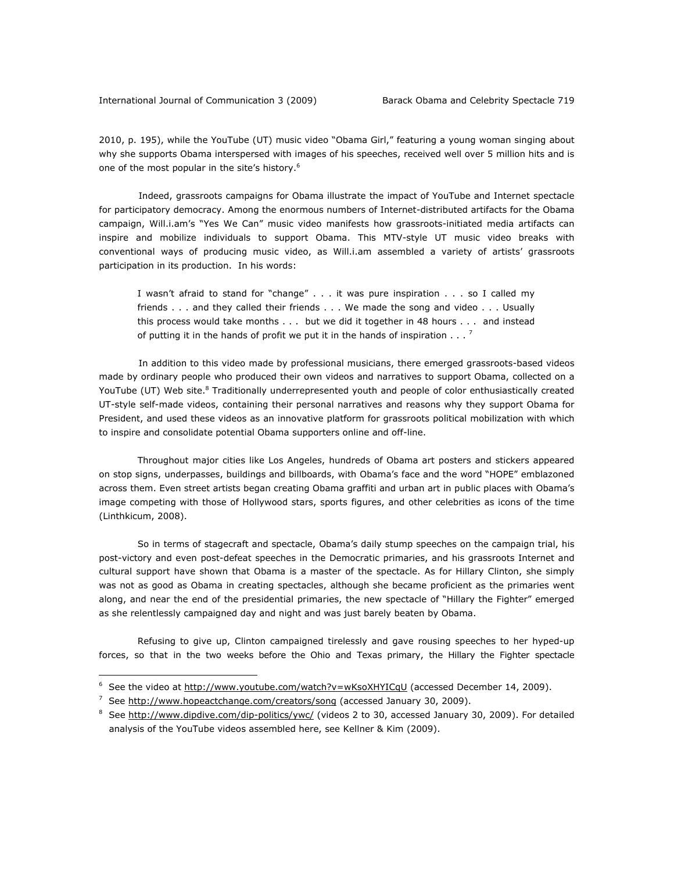2010, p. 195), while the YouTube (UT) music video "Obama Girl," featuring a young woman singing about why she supports Obama interspersed with images of his speeches, received well over 5 million hits and is one of the most popular in the site's history.<sup>6</sup>

Indeed, grassroots campaigns for Obama illustrate the impact of YouTube and Internet spectacle for participatory democracy. Among the enormous numbers of Internet-distributed artifacts for the Obama campaign, Will.i.am's "Yes We Can" music video manifests how grassroots-initiated media artifacts can inspire and mobilize individuals to support Obama. This MTV-style UT music video breaks with conventional ways of producing music video, as Will.i.am assembled a variety of artists' grassroots participation in its production. In his words:

I wasn't afraid to stand for "change" . . . it was pure inspiration . . . so I called my friends . . . and they called their friends . . . We made the song and video . . . Usually this process would take months . . . but we did it together in 48 hours . . . and instead of putting it in the hands of profit we put it in the hands of inspiration  $\ldots$ .

In addition to this video made by professional musicians, there emerged grassroots-based videos made by ordinary people who produced their own videos and narratives to support Obama, collected on a YouTube (UT) Web site.<sup>8</sup> Traditionally underrepresented youth and people of color enthusiastically created UT-style self-made videos, containing their personal narratives and reasons why they support Obama for President, and used these videos as an innovative platform for grassroots political mobilization with which to inspire and consolidate potential Obama supporters online and off-line.

Throughout major cities like Los Angeles, hundreds of Obama art posters and stickers appeared on stop signs, underpasses, buildings and billboards, with Obama's face and the word "HOPE" emblazoned across them. Even street artists began creating Obama graffiti and urban art in public places with Obama's image competing with those of Hollywood stars, sports figures, and other celebrities as icons of the time (Linthkicum, 2008).

So in terms of stagecraft and spectacle, Obama's daily stump speeches on the campaign trial, his post-victory and even post-defeat speeches in the Democratic primaries, and his grassroots Internet and cultural support have shown that Obama is a master of the spectacle. As for Hillary Clinton, she simply was not as good as Obama in creating spectacles, although she became proficient as the primaries went along, and near the end of the presidential primaries, the new spectacle of "Hillary the Fighter" emerged as she relentlessly campaigned day and night and was just barely beaten by Obama.

Refusing to give up, Clinton campaigned tirelessly and gave rousing speeches to her hyped-up forces, so that in the two weeks before the Ohio and Texas primary, the Hillary the Fighter spectacle

 $\overline{a}$ 

<sup>&</sup>lt;sup>6</sup> See the video at http://www.youtube.com/watch?v=wKsoXHYICqU (accessed December 14, 2009).

<sup>&</sup>lt;sup>7</sup> See http://www.hopeactchange.com/creators/song (accessed January 30, 2009).

<sup>&</sup>lt;sup>8</sup> See http://www.dipdive.com/dip-politics/ywc/ (videos 2 to 30, accessed January 30, 2009). For detailed analysis of the YouTube videos assembled here, see Kellner & Kim (2009).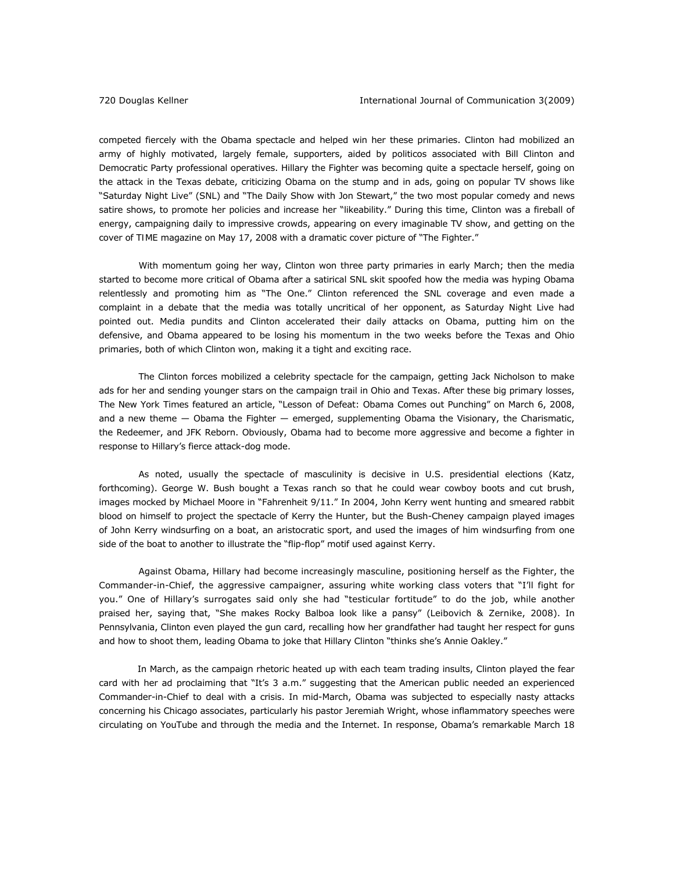competed fiercely with the Obama spectacle and helped win her these primaries. Clinton had mobilized an army of highly motivated, largely female, supporters, aided by politicos associated with Bill Clinton and Democratic Party professional operatives. Hillary the Fighter was becoming quite a spectacle herself, going on the attack in the Texas debate, criticizing Obama on the stump and in ads, going on popular TV shows like "Saturday Night Live" (SNL) and "The Daily Show with Jon Stewart," the two most popular comedy and news satire shows, to promote her policies and increase her "likeability." During this time, Clinton was a fireball of energy, campaigning daily to impressive crowds, appearing on every imaginable TV show, and getting on the cover of *TIME* magazine on May 17, 2008 with a dramatic cover picture of "The Fighter."

With momentum going her way, Clinton won three party primaries in early March; then the media started to become more critical of Obama after a satirical SNL skit spoofed how the media was hyping Obama relentlessly and promoting him as "The One." Clinton referenced the SNL coverage and even made a complaint in a debate that the media was totally uncritical of her opponent, as *Saturday Night Live* had pointed out. Media pundits and Clinton accelerated their daily attacks on Obama, putting him on the defensive, and Obama appeared to be losing his momentum in the two weeks before the Texas and Ohio primaries, both of which Clinton won, making it a tight and exciting race.

The Clinton forces mobilized a celebrity spectacle for the campaign, getting Jack Nicholson to make ads for her and sending younger stars on the campaign trail in Ohio and Texas. After these big primary losses, *The New York Times* featured an article, "Lesson of Defeat: Obama Comes out Punching" on March 6, 2008, and a new theme — Obama the Fighter — emerged, supplementing Obama the Visionary, the Charismatic, the Redeemer, and JFK Reborn. Obviously, Obama had to become more aggressive and become a fighter in response to Hillary's fierce attack-dog mode.

 As noted, usually the spectacle of masculinity is decisive in U.S. presidential elections (Katz, forthcoming). George W. Bush bought a Texas ranch so that he could wear cowboy boots and cut brush, images mocked by Michael Moore in "Fahrenheit 9/11." In 2004, John Kerry went hunting and smeared rabbit blood on himself to project the spectacle of Kerry the Hunter, but the Bush-Cheney campaign played images of John Kerry windsurfing on a boat, an aristocratic sport, and used the images of him windsurfing from one side of the boat to another to illustrate the "flip-flop" motif used against Kerry.

 Against Obama, Hillary had become increasingly masculine, positioning herself as the Fighter, the Commander-in-Chief, the aggressive campaigner, assuring white working class voters that "I'll fight for you." One of Hillary's surrogates said only she had "testicular fortitude" to do the job, while another praised her, saying that, "She makes Rocky Balboa look like a pansy" (Leibovich & Zernike, 2008). In Pennsylvania, Clinton even played the gun card, recalling how her grandfather had taught her respect for guns and how to shoot them, leading Obama to joke that Hillary Clinton "thinks she's Annie Oakley."

In March, as the campaign rhetoric heated up with each team trading insults, Clinton played the fear card with her ad proclaiming that "It's 3 a.m." suggesting that the American public needed an experienced Commander-in-Chief to deal with a crisis. In mid-March, Obama was subjected to especially nasty attacks concerning his Chicago associates, particularly his pastor Jeremiah Wright, whose inflammatory speeches were circulating on YouTube and through the media and the Internet. In response, Obama's remarkable March 18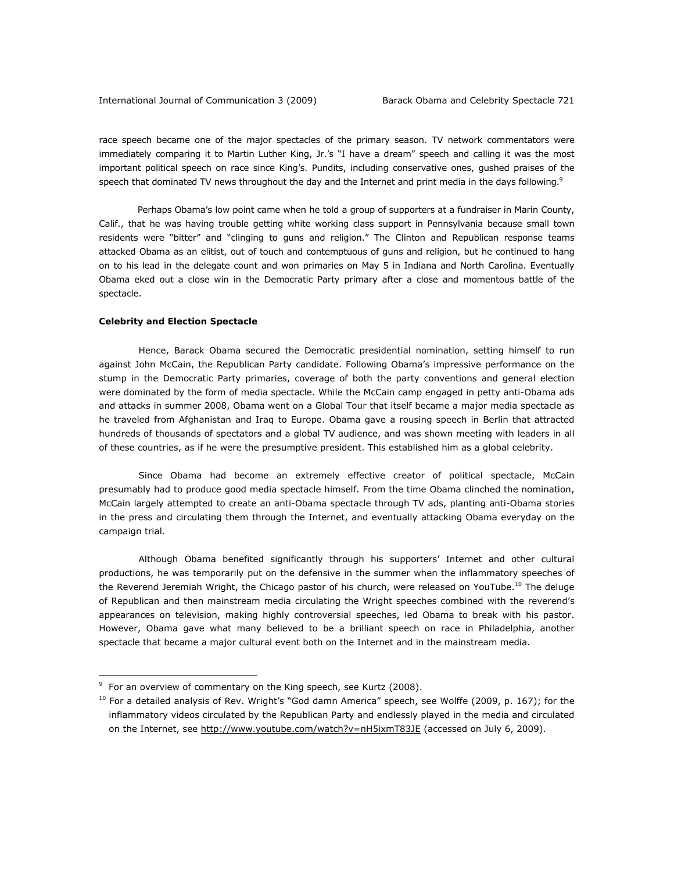race speech became one of the major spectacles of the primary season. TV network commentators were immediately comparing it to Martin Luther King, Jr.'s "I have a dream" speech and calling it was the most important political speech on race since King's. Pundits, including conservative ones, gushed praises of the speech that dominated TV news throughout the day and the Internet and print media in the days following.<sup>9</sup>

Perhaps Obama's low point came when he told a group of supporters at a fundraiser in Marin County, Calif., that he was having trouble getting white working class support in Pennsylvania because small town residents were "bitter" and "clinging to guns and religion." The Clinton and Republican response teams attacked Obama as an elitist, out of touch and contemptuous of guns and religion, but he continued to hang on to his lead in the delegate count and won primaries on May 5 in Indiana and North Carolina. Eventually Obama eked out a close win in the Democratic Party primary after a close and momentous battle of the spectacle.

# *Celebrity and Election Spectacle*

 $\overline{a}$ 

Hence, Barack Obama secured the Democratic presidential nomination, setting himself to run against John McCain, the Republican Party candidate. Following Obama's impressive performance on the stump in the Democratic Party primaries, coverage of both the party conventions and general election were dominated by the form of media spectacle. While the McCain camp engaged in petty anti-Obama ads and attacks in summer 2008, Obama went on a Global Tour that itself became a major media spectacle as he traveled from Afghanistan and Iraq to Europe. Obama gave a rousing speech in Berlin that attracted hundreds of thousands of spectators and a global TV audience, and was shown meeting with leaders in all of these countries, as if he were the presumptive president. This established him as a global celebrity.

Since Obama had become an extremely effective creator of political spectacle, McCain presumably had to produce good media spectacle himself. From the time Obama clinched the nomination, McCain largely attempted to create an anti-Obama spectacle through TV ads, planting anti-Obama stories in the press and circulating them through the Internet, and eventually attacking Obama everyday on the campaign trial.

Although Obama benefited significantly through his supporters' Internet and other cultural productions, he was temporarily put on the defensive in the summer when the inflammatory speeches of the Reverend Jeremiah Wright, the Chicago pastor of his church, were released on YouTube.<sup>10</sup> The deluge of Republican and then mainstream media circulating the Wright speeches combined with the reverend's appearances on television, making highly controversial speeches, led Obama to break with his pastor. However, Obama gave what many believed to be a brilliant speech on race in Philadelphia, another spectacle that became a major cultural event both on the Internet and in the mainstream media.

<sup>&</sup>lt;sup>9</sup> For an overview of commentary on the King speech, see Kurtz (2008).

 $10$  For a detailed analysis of Rev. Wright's "God damn America" speech, see Wolffe (2009, p. 167); for the inflammatory videos circulated by the Republican Party and endlessly played in the media and circulated on the Internet, see http://www.youtube.com/watch?v=nH5ixmT83JE (accessed on July 6, 2009).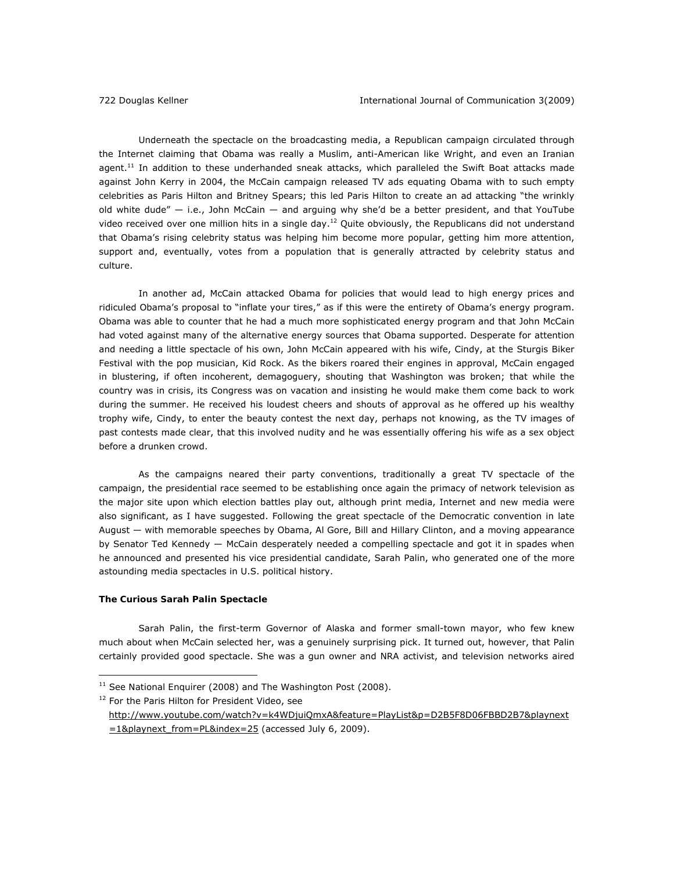Underneath the spectacle on the broadcasting media, a Republican campaign circulated through the Internet claiming that Obama was really a Muslim, anti-American like Wright, and even an Iranian agent.<sup>11</sup> In addition to these underhanded sneak attacks, which paralleled the Swift Boat attacks made against John Kerry in 2004, the McCain campaign released TV ads equating Obama with to such empty celebrities as Paris Hilton and Britney Spears; this led Paris Hilton to create an ad attacking "the wrinkly old white dude"  $-$  i.e., John McCain  $-$  and arguing why she'd be a better president, and that YouTube video received over one million hits in a single day.<sup>12</sup> Quite obviously, the Republicans did not understand that Obama's rising celebrity status was helping him become more popular, getting him more attention, support and, eventually, votes from a population that is generally attracted by celebrity status and culture.

In another ad, McCain attacked Obama for policies that would lead to high energy prices and ridiculed Obama's proposal to "inflate your tires," as if this were the entirety of Obama's energy program. Obama was able to counter that he had a much more sophisticated energy program and that John McCain had voted against many of the alternative energy sources that Obama supported. Desperate for attention and needing a little spectacle of his own, John McCain appeared with his wife, Cindy, at the Sturgis Biker Festival with the pop musician, Kid Rock. As the bikers roared their engines in approval, McCain engaged in blustering, if often incoherent, demagoguery, shouting that Washington was broken; that while the country was in crisis, its Congress was on vacation and insisting he would make them come back to work during the summer. He received his loudest cheers and shouts of approval as he offered up his wealthy trophy wife, Cindy, to enter the beauty contest the next day, perhaps not knowing, as the TV images of past contests made clear, that this involved nudity and he was essentially offering his wife as a sex object before a drunken crowd.

As the campaigns neared their party conventions, traditionally a great TV spectacle of the campaign, the presidential race seemed to be establishing once again the primacy of network television as the major site upon which election battles play out, although print media, Internet and new media were also significant, as I have suggested. Following the great spectacle of the Democratic convention in late August — with memorable speeches by Obama, Al Gore, Bill and Hillary Clinton, and a moving appearance by Senator Ted Kennedy — McCain desperately needed a compelling spectacle and got it in spades when he announced and presented his vice presidential candidate, Sarah Palin, who generated one of the more astounding media spectacles in U.S. political history.

# *The Curious Sarah Palin Spectacle*

 $\overline{a}$ 

Sarah Palin, the first-term Governor of Alaska and former small-town mayor, who few knew much about when McCain selected her, was a genuinely surprising pick. It turned out, however, that Palin certainly provided good spectacle. She was a gun owner and NRA activist, and television networks aired

<sup>12</sup> For the Paris Hilton for President Video, see

<sup>11</sup> See *National Enquirer* (2008) and *The Washington Post* (2008).

http://www.youtube.com/watch?v=k4WDjuiQmxA&feature=PlayList&p=D2B5F8D06FBBD2B7&playnext  $=1$ &playnext from=PL&index=25 (accessed July 6, 2009).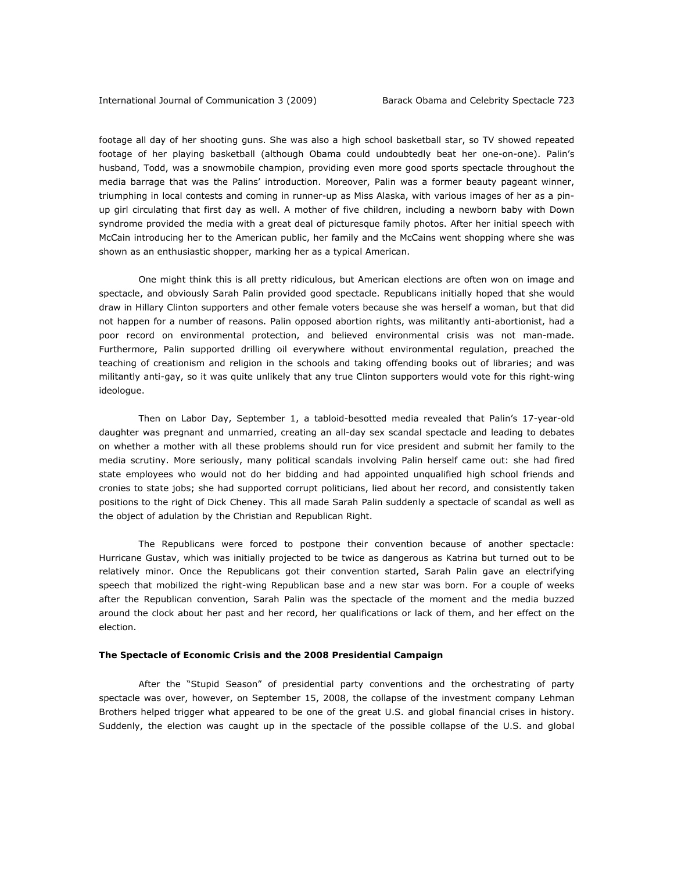footage all day of her shooting guns. She was also a high school basketball star, so TV showed repeated footage of her playing basketball (although Obama could undoubtedly beat her one-on-one). Palin's husband, Todd, was a snowmobile champion, providing even more good sports spectacle throughout the media barrage that was the Palins' introduction. Moreover, Palin was a former beauty pageant winner, triumphing in local contests and coming in runner-up as Miss Alaska, with various images of her as a pinup girl circulating that first day as well. A mother of five children, including a newborn baby with Down syndrome provided the media with a great deal of picturesque family photos. After her initial speech with McCain introducing her to the American public, her family and the McCains went shopping where she was shown as an enthusiastic shopper, marking her as a typical American.

 One might think this is all pretty ridiculous, but American elections are often won on image and spectacle, and obviously Sarah Palin provided good spectacle. Republicans initially hoped that she would draw in Hillary Clinton supporters and other female voters because she was herself a woman, but that did not happen for a number of reasons. Palin opposed abortion rights, was militantly anti-abortionist, had a poor record on environmental protection, and believed environmental crisis was not man-made. Furthermore, Palin supported drilling oil everywhere without environmental regulation, preached the teaching of creationism and religion in the schools and taking offending books out of libraries; and was militantly anti-gay, so it was quite unlikely that any true Clinton supporters would vote for this right-wing ideologue.

Then on Labor Day, September 1, a tabloid-besotted media revealed that Palin's 17-year-old daughter was pregnant and unmarried, creating an all-day sex scandal spectacle and leading to debates on whether a mother with all these problems should run for vice president and submit her family to the media scrutiny. More seriously, many political scandals involving Palin herself came out: she had fired state employees who would not do her bidding and had appointed unqualified high school friends and cronies to state jobs; she had supported corrupt politicians, lied about her record, and consistently taken positions to the right of Dick Cheney. This all made Sarah Palin suddenly a spectacle of scandal as well as the object of adulation by the Christian and Republican Right.

The Republicans were forced to postpone their convention because of another spectacle: Hurricane Gustav, which was initially projected to be twice as dangerous as Katrina but turned out to be relatively minor. Once the Republicans got their convention started, Sarah Palin gave an electrifying speech that mobilized the right-wing Republican base and a new star was born. For a couple of weeks after the Republican convention, Sarah Palin was the spectacle of the moment and the media buzzed around the clock about her past and her record, her qualifications or lack of them, and her effect on the election.

# *The Spectacle of Economic Crisis and the 2008 Presidential Campaign*

After the "Stupid Season" of presidential party conventions and the orchestrating of party spectacle was over, however, on September 15, 2008, the collapse of the investment company Lehman Brothers helped trigger what appeared to be one of the great U.S. and global financial crises in history. Suddenly, the election was caught up in the spectacle of the possible collapse of the U.S. and global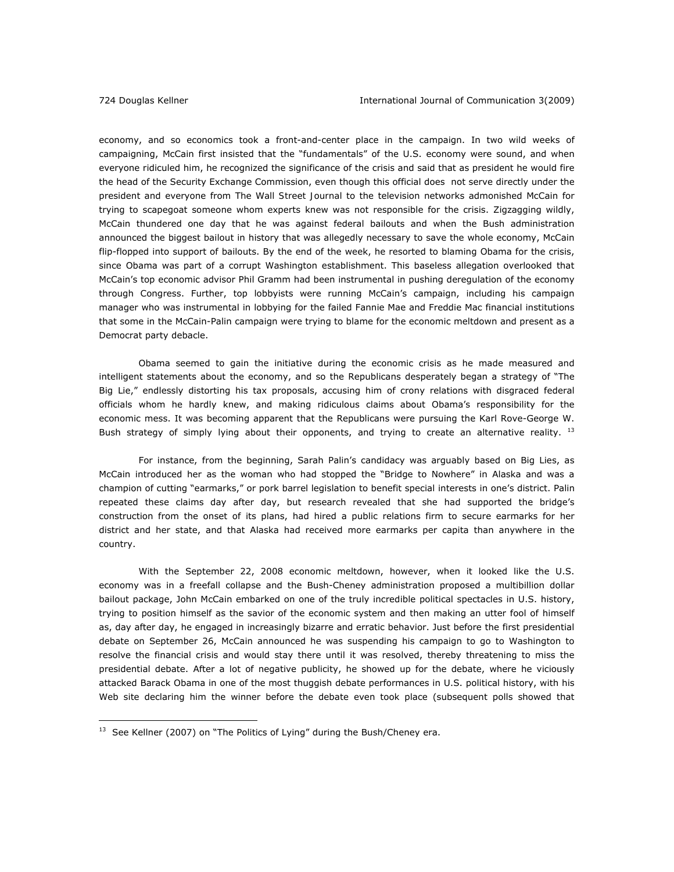economy, and so economics took a front-and-center place in the campaign. In two wild weeks of campaigning, McCain first insisted that the "fundamentals" of the U.S. economy were sound, and when everyone ridiculed him, he recognized the significance of the crisis and said that as president he would fire the head of the Security Exchange Commission, even though this official does not serve directly under the president and everyone from *The Wall Street Journal* to the television networks admonished McCain for trying to scapegoat someone whom experts knew was not responsible for the crisis. Zigzagging wildly, McCain thundered one day that he was against federal bailouts and when the Bush administration announced the biggest bailout in history that was allegedly necessary to save the whole economy, McCain flip-flopped into support of bailouts. By the end of the week, he resorted to blaming Obama for the crisis, since Obama was part of a corrupt Washington establishment. This baseless allegation overlooked that McCain's top economic advisor Phil Gramm had been instrumental in pushing deregulation of the economy through Congress. Further, top lobbyists were running McCain's campaign, including his campaign manager who was instrumental in lobbying for the failed Fannie Mae and Freddie Mac financial institutions that some in the McCain-Palin campaign were trying to blame for the economic meltdown and present as a Democrat party debacle.

Obama seemed to gain the initiative during the economic crisis as he made measured and intelligent statements about the economy, and so the Republicans desperately began a strategy of "The Big Lie," endlessly distorting his tax proposals, accusing him of crony relations with disgraced federal officials whom he hardly knew, and making ridiculous claims about Obama's responsibility for the economic mess. It was becoming apparent that the Republicans were pursuing the Karl Rove-George W. Bush strategy of simply lying about their opponents, and trying to create an alternative reality.  $^{13}$ 

For instance, from the beginning, Sarah Palin's candidacy was arguably based on Big Lies, as McCain introduced her as the woman who had stopped the "Bridge to Nowhere" in Alaska and was a champion of cutting "earmarks," or pork barrel legislation to benefit special interests in one's district. Palin repeated these claims day after day, but research revealed that she had supported the bridge's construction from the onset of its plans, had hired a public relations firm to secure earmarks for her district and her state, and that Alaska had received more earmarks per capita than anywhere in the country.

With the September 22, 2008 economic meltdown, however, when it looked like the U.S. economy was in a freefall collapse and the Bush-Cheney administration proposed a multibillion dollar bailout package, John McCain embarked on one of the truly incredible political spectacles in U.S. history, trying to position himself as the savior of the economic system and then making an utter fool of himself as, day after day, he engaged in increasingly bizarre and erratic behavior. Just before the first presidential debate on September 26, McCain announced he was suspending his campaign to go to Washington to resolve the financial crisis and would stay there until it was resolved, thereby threatening to miss the presidential debate. After a lot of negative publicity, he showed up for the debate, where he viciously attacked Barack Obama in one of the most thuggish debate performances in U.S. political history, with his Web site declaring him the winner before the debate even took place (subsequent polls showed that

<sup>&</sup>lt;sup>13</sup> See Kellner (2007) on "The Politics of Lying" during the Bush/Cheney era.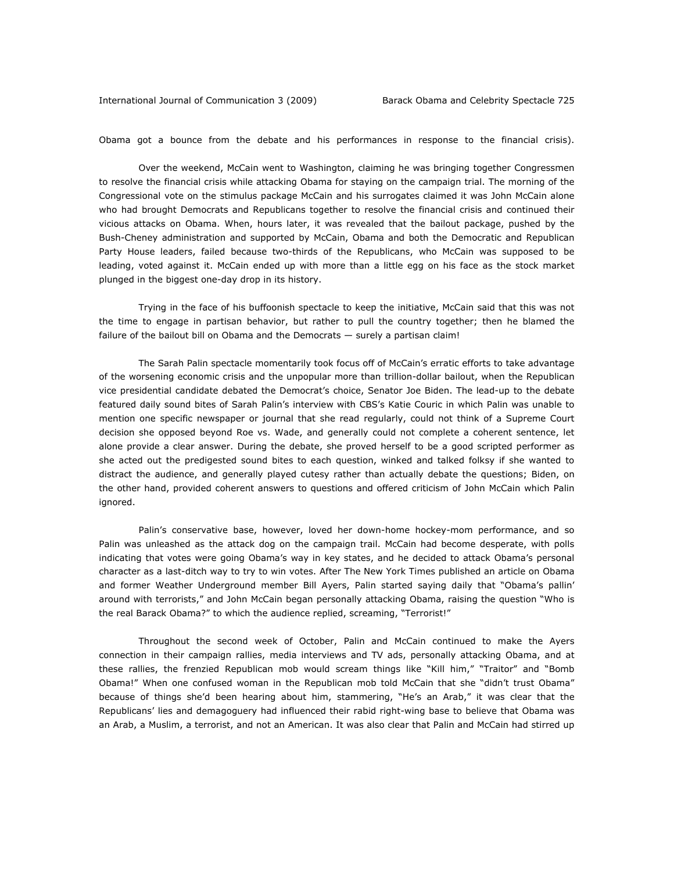Obama got a bounce from the debate and his performances in response to the financial crisis).

Over the weekend, McCain went to Washington, claiming he was bringing together Congressmen to resolve the financial crisis while attacking Obama for staying on the campaign trial. The morning of the Congressional vote on the stimulus package McCain and his surrogates claimed it was John McCain alone who had brought Democrats and Republicans together to resolve the financial crisis and continued their vicious attacks on Obama. When, hours later, it was revealed that the bailout package, pushed by the Bush-Cheney administration and supported by McCain, Obama and both the Democratic and Republican Party House leaders, failed because two-thirds of the Republicans, who McCain was supposed to be leading, voted against it. McCain ended up with more than a little egg on his face as the stock market plunged in the biggest one-day drop in its history.

Trying in the face of his buffoonish spectacle to keep the initiative, McCain said that this was not the time to engage in partisan behavior, but rather to pull the country together; then he blamed the failure of the bailout bill on Obama and the Democrats — surely a partisan claim!

The Sarah Palin spectacle momentarily took focus off of McCain's erratic efforts to take advantage of the worsening economic crisis and the unpopular more than trillion-dollar bailout, when the Republican vice presidential candidate debated the Democrat's choice, Senator Joe Biden. The lead-up to the debate featured daily sound bites of Sarah Palin's interview with CBS's Katie Couric in which Palin was unable to mention one specific newspaper or journal that she read regularly, could not think of a Supreme Court decision she opposed beyond Roe vs. Wade, and generally could not complete a coherent sentence, let alone provide a clear answer. During the debate, she proved herself to be a good scripted performer as she acted out the predigested sound bites to each question, winked and talked folksy if she wanted to distract the audience, and generally played cutesy rather than actually debate the questions; Biden, on the other hand, provided coherent answers to questions and offered criticism of John McCain which Palin ignored.

Palin's conservative base, however, loved her down-home hockey-mom performance, and so Palin was unleashed as the attack dog on the campaign trail. McCain had become desperate, with polls indicating that votes were going Obama's way in key states, and he decided to attack Obama's personal character as a last-ditch way to try to win votes. After *The New York Times* published an article on Obama and former Weather Underground member Bill Ayers, Palin started saying daily that "Obama's pallin' around with terrorists," and John McCain began personally attacking Obama, raising the question "Who is the real Barack Obama?" to which the audience replied, screaming, "Terrorist!"

Throughout the second week of October, Palin and McCain continued to make the Ayers connection in their campaign rallies, media interviews and TV ads, personally attacking Obama, and at these rallies, the frenzied Republican mob would scream things like "Kill him," "Traitor" and "Bomb Obama!" When one confused woman in the Republican mob told McCain that she "didn't trust Obama" because of things she'd been hearing about him, stammering, "He's an Arab," it was clear that the Republicans' lies and demagoguery had influenced their rabid right-wing base to believe that Obama was an Arab, a Muslim, a terrorist, and not an American. It was also clear that Palin and McCain had stirred up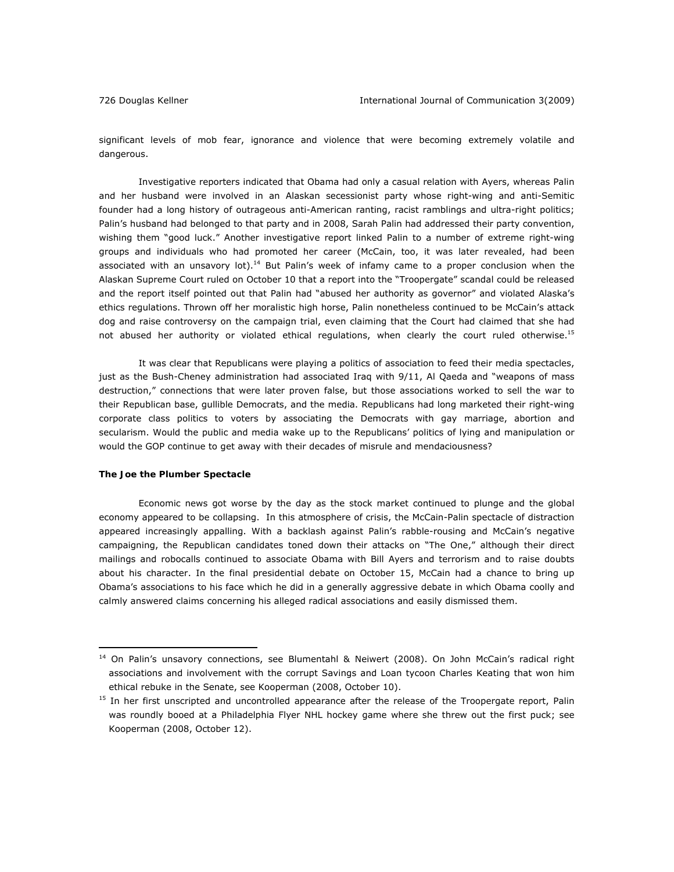significant levels of mob fear, ignorance and violence that were becoming extremely volatile and dangerous.

Investigative reporters indicated that Obama had only a casual relation with Ayers, whereas Palin and her husband were involved in an Alaskan secessionist party whose right-wing and anti-Semitic founder had a long history of outrageous anti-American ranting, racist ramblings and ultra-right politics; Palin's husband had belonged to that party and in 2008, Sarah Palin had addressed their party convention, wishing them "good luck." Another investigative report linked Palin to a number of extreme right-wing groups and individuals who had promoted her career (McCain, too, it was later revealed, had been associated with an unsavory lot).<sup>14</sup> But Palin's week of infamy came to a proper conclusion when the Alaskan Supreme Court ruled on October 10 that a report into the "Troopergate" scandal could be released and the report itself pointed out that Palin had "abused her authority as governor" and violated Alaska's ethics regulations. Thrown off her moralistic high horse, Palin nonetheless continued to be McCain's attack dog and raise controversy on the campaign trial, even claiming that the Court had claimed that she had not abused her authority or violated ethical regulations, when clearly the court ruled otherwise.<sup>15</sup>

 It was clear that Republicans were playing a politics of association to feed their media spectacles, just as the Bush-Cheney administration had associated Iraq with 9/11, Al Qaeda and "weapons of mass destruction," connections that were later proven false, but those associations worked to sell the war to their Republican base, gullible Democrats, and the media. Republicans had long marketed their right-wing corporate class politics to voters by associating the Democrats with gay marriage, abortion and secularism. Would the public and media wake up to the Republicans' politics of lying and manipulation or would the GOP continue to get away with their decades of misrule and mendaciousness?

### *The Joe the Plumber Spectacle*

 $\overline{a}$ 

 Economic news got worse by the day as the stock market continued to plunge and the global economy appeared to be collapsing. In this atmosphere of crisis, the McCain-Palin spectacle of distraction appeared increasingly appalling. With a backlash against Palin's rabble-rousing and McCain's negative campaigning, the Republican candidates toned down their attacks on "The One," although their direct mailings and robocalls continued to associate Obama with Bill Ayers and terrorism and to raise doubts about his character. In the final presidential debate on October 15, McCain had a chance to bring up Obama's associations to his face which he did in a generally aggressive debate in which Obama coolly and calmly answered claims concerning his alleged radical associations and easily dismissed them.

<sup>&</sup>lt;sup>14</sup> On Palin's unsavory connections, see Blumentahl & Neiwert (2008). On John McCain's radical right associations and involvement with the corrupt Savings and Loan tycoon Charles Keating that won him ethical rebuke in the Senate, see Kooperman (2008, October 10).

<sup>&</sup>lt;sup>15</sup> In her first unscripted and uncontrolled appearance after the release of the Troopergate report, Palin was roundly booed at a Philadelphia Flyer NHL hockey game where she threw out the first puck; see Kooperman (2008, October 12).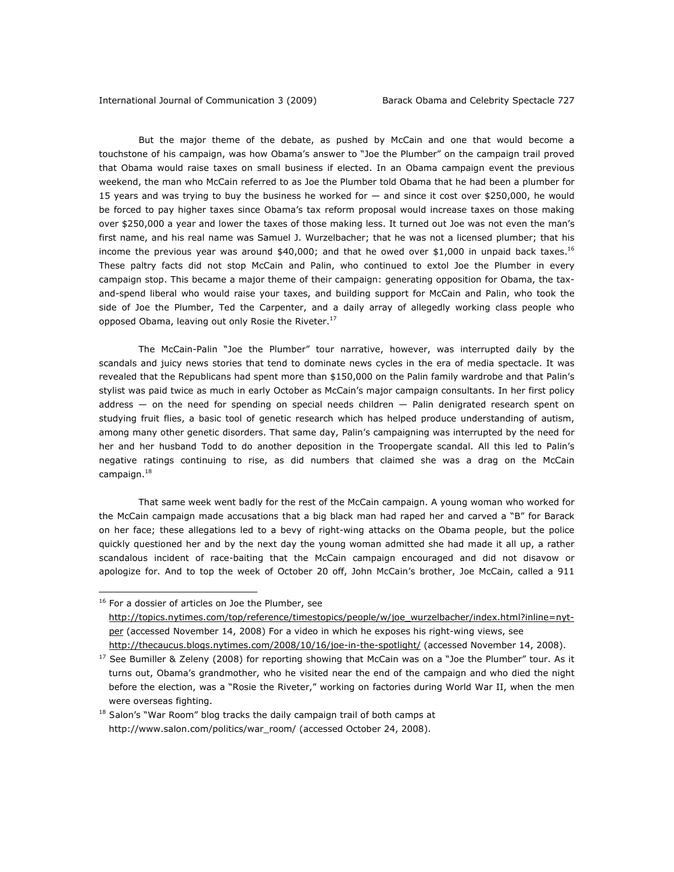But the major theme of the debate, as pushed by McCain and one that would become a touchstone of his campaign, was how Obama's answer to "Joe the Plumber" on the campaign trail proved that Obama would raise taxes on small business if elected. In an Obama campaign event the previous weekend, the man who McCain referred to as Joe the Plumber told Obama that he had been a plumber for 15 years and was trying to buy the business he worked for — and since it cost over \$250,000, he would be forced to pay higher taxes since Obama's tax reform proposal would increase taxes on those making over \$250,000 a year and lower the taxes of those making less. It turned out Joe was not even the man's first name, and his real name was Samuel J. Wurzelbacher; that he was not a licensed plumber; that his income the previous year was around  $$40,000$ ; and that he owed over  $$1,000$  in unpaid back taxes.<sup>16</sup> These paltry facts did not stop McCain and Palin, who continued to extol Joe the Plumber in every campaign stop. This became a major theme of their campaign: generating opposition for Obama, the taxand-spend liberal who would raise your taxes, and building support for McCain and Palin, who took the side of Joe the Plumber, Ted the Carpenter, and a daily array of allegedly working class people who opposed Obama, leaving out only Rosie the Riveter.<sup>17</sup>

The McCain-Palin "Joe the Plumber" tour narrative, however, was interrupted daily by the scandals and juicy news stories that tend to dominate news cycles in the era of media spectacle. It was revealed that the Republicans had spent more than \$150,000 on the Palin family wardrobe and that Palin's stylist was paid twice as much in early October as McCain's major campaign consultants. In her first policy address — on the need for spending on special needs children — Palin denigrated research spent on studying fruit flies, a basic tool of genetic research which has helped produce understanding of autism, among many other genetic disorders. That same day, Palin's campaigning was interrupted by the need for her and her husband Todd to do another deposition in the Troopergate scandal. All this led to Palin's negative ratings continuing to rise, as did numbers that claimed she was a drag on the McCain campaign.<sup>18</sup>

That same week went badly for the rest of the McCain campaign. A young woman who worked for the McCain campaign made accusations that a big black man had raped her and carved a "B" for Barack on her face; these allegations led to a bevy of right-wing attacks on the Obama people, but the police quickly questioned her and by the next day the young woman admitted she had made it all up, a rather scandalous incident of race-baiting that the McCain campaign encouraged and did not disavow or apologize for. And to top the week of October 20 off, John McCain's brother, Joe McCain, called a 911

<sup>16</sup> For a dossier of articles on Joe the Plumber, see

 $\overline{a}$ 

http://topics.nytimes.com/top/reference/timestopics/people/w/joe\_wurzelbacher/index.html?inline=nytper (accessed November 14, 2008) For a video in which he exposes his right-wing views, see

http://thecaucus.blogs.nytimes.com/2008/10/16/joe-in-the-spotlight/ (accessed November 14, 2008).

 $17$  See Bumiller & Zeleny (2008) for reporting showing that McCain was on a "Joe the Plumber" tour. As it turns out, Obama's grandmother, who he visited near the end of the campaign and who died the night before the election, was a "Rosie the Riveter," working on factories during World War II, when the men were overseas fighting.

<sup>&</sup>lt;sup>18</sup> Salon's "War Room" blog tracks the daily campaign trail of both camps at http://www.salon.com/politics/war\_room/ (accessed October 24, 2008).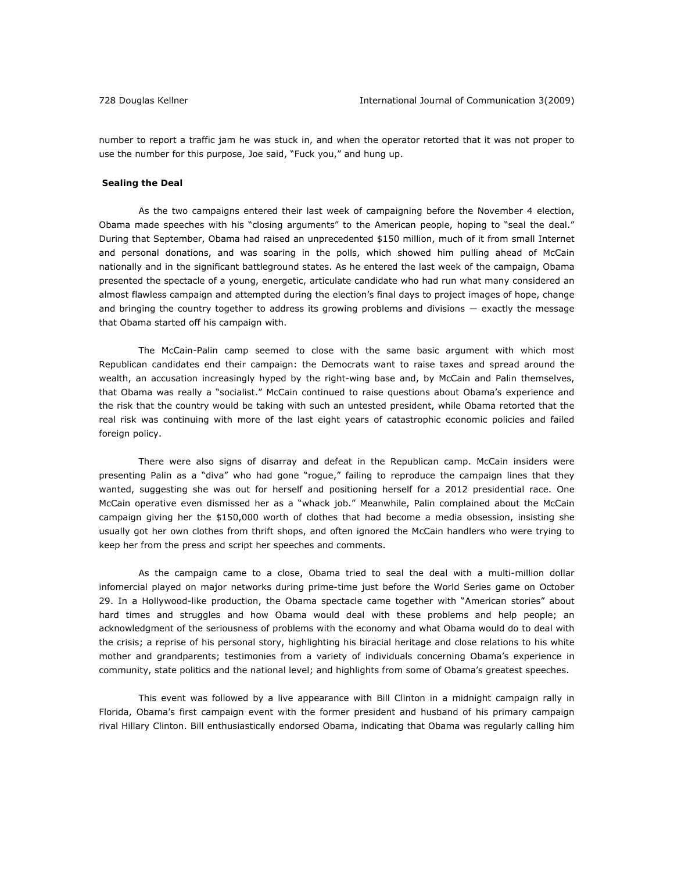number to report a traffic jam he was stuck in, and when the operator retorted that it was not proper to use the number for this purpose, Joe said, "Fuck you," and hung up.

#### *Sealing the Deal*

As the two campaigns entered their last week of campaigning before the November 4 election, Obama made speeches with his "closing arguments" to the American people, hoping to "seal the deal." During that September, Obama had raised an unprecedented \$150 million, much of it from small Internet and personal donations, and was soaring in the polls, which showed him pulling ahead of McCain nationally and in the significant battleground states. As he entered the last week of the campaign, Obama presented the spectacle of a young, energetic, articulate candidate who had run what many considered an almost flawless campaign and attempted during the election's final days to project images of hope, change and bringing the country together to address its growing problems and divisions — exactly the message that Obama started off his campaign with.

The McCain-Palin camp seemed to close with the same basic argument with which most Republican candidates end their campaign: the Democrats want to raise taxes and spread around the wealth, an accusation increasingly hyped by the right-wing base and, by McCain and Palin themselves, that Obama was really a "socialist." McCain continued to raise questions about Obama's experience and the risk that the country would be taking with such an untested president, while Obama retorted that the real risk was continuing with more of the last eight years of catastrophic economic policies and failed foreign policy.

There were also signs of disarray and defeat in the Republican camp. McCain insiders were presenting Palin as a "diva" who had gone "rogue," failing to reproduce the campaign lines that they wanted, suggesting she was out for herself and positioning herself for a 2012 presidential race. One McCain operative even dismissed her as a "whack job." Meanwhile, Palin complained about the McCain campaign giving her the \$150,000 worth of clothes that had become a media obsession, insisting she usually got her own clothes from thrift shops, and often ignored the McCain handlers who were trying to keep her from the press and script her speeches and comments.

As the campaign came to a close, Obama tried to seal the deal with a multi-million dollar infomercial played on major networks during prime-time just before the World Series game on October 29. In a Hollywood-like production, the Obama spectacle came together with "American stories" about hard times and struggles and how Obama would deal with these problems and help people; an acknowledgment of the seriousness of problems with the economy and what Obama would do to deal with the crisis; a reprise of his personal story, highlighting his biracial heritage and close relations to his white mother and grandparents; testimonies from a variety of individuals concerning Obama's experience in community, state politics and the national level; and highlights from some of Obama's greatest speeches.

This event was followed by a live appearance with Bill Clinton in a midnight campaign rally in Florida, Obama's first campaign event with the former president and husband of his primary campaign rival Hillary Clinton. Bill enthusiastically endorsed Obama, indicating that Obama was regularly calling him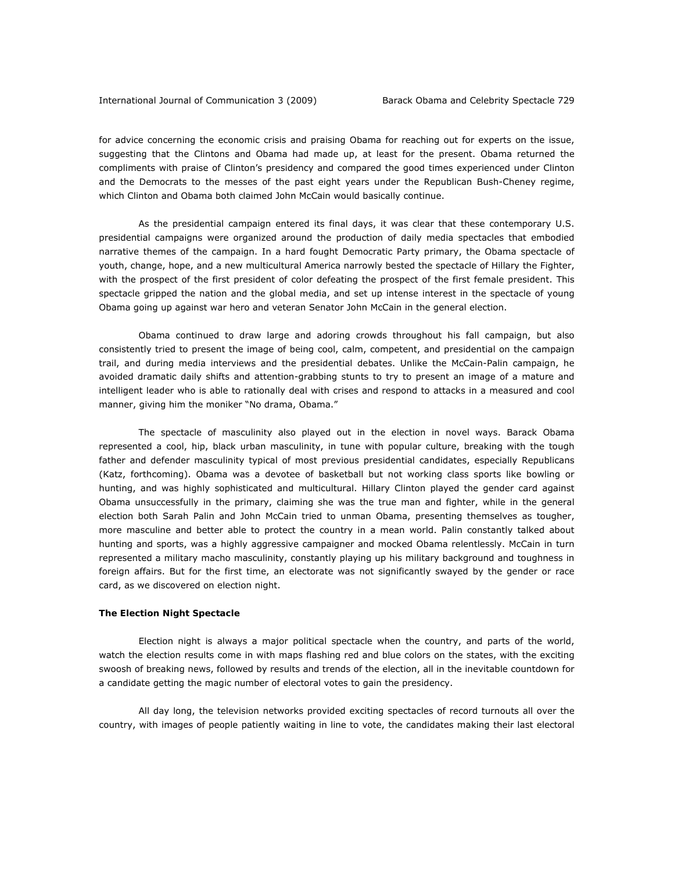for advice concerning the economic crisis and praising Obama for reaching out for experts on the issue, suggesting that the Clintons and Obama had made up, at least for the present. Obama returned the compliments with praise of Clinton's presidency and compared the good times experienced under Clinton and the Democrats to the messes of the past eight years under the Republican Bush-Cheney regime, which Clinton and Obama both claimed John McCain would basically continue.

 As the presidential campaign entered its final days, it was clear that these contemporary U.S. presidential campaigns were organized around the production of daily media spectacles that embodied narrative themes of the campaign. In a hard fought Democratic Party primary, the Obama spectacle of youth, change, hope, and a new multicultural America narrowly bested the spectacle of Hillary the Fighter, with the prospect of the first president of color defeating the prospect of the first female president. This spectacle gripped the nation and the global media, and set up intense interest in the spectacle of young Obama going up against war hero and veteran Senator John McCain in the general election.

 Obama continued to draw large and adoring crowds throughout his fall campaign, but also consistently tried to present the image of being cool, calm, competent, and presidential on the campaign trail, and during media interviews and the presidential debates. Unlike the McCain-Palin campaign, he avoided dramatic daily shifts and attention-grabbing stunts to try to present an image of a mature and intelligent leader who is able to rationally deal with crises and respond to attacks in a measured and cool manner, giving him the moniker "No drama, Obama."

 The spectacle of masculinity also played out in the election in novel ways. Barack Obama represented a cool, hip, black urban masculinity, in tune with popular culture, breaking with the tough father and defender masculinity typical of most previous presidential candidates, especially Republicans (Katz, forthcoming). Obama was a devotee of basketball but not working class sports like bowling or hunting, and was highly sophisticated and multicultural. Hillary Clinton played the gender card against Obama unsuccessfully in the primary, claiming she was the true man and fighter, while in the general election both Sarah Palin and John McCain tried to unman Obama, presenting themselves as tougher, more masculine and better able to protect the country in a mean world. Palin constantly talked about hunting and sports, was a highly aggressive campaigner and mocked Obama relentlessly. McCain in turn represented a military macho masculinity, constantly playing up his military background and toughness in foreign affairs. But for the first time, an electorate was not significantly swayed by the gender or race card, as we discovered on election night.

# *The Election Night Spectacle*

 Election night is always a major political spectacle when the country, and parts of the world, watch the election results come in with maps flashing red and blue colors on the states, with the exciting swoosh of breaking news, followed by results and trends of the election, all in the inevitable countdown for a candidate getting the magic number of electoral votes to gain the presidency.

 All day long, the television networks provided exciting spectacles of record turnouts all over the country, with images of people patiently waiting in line to vote, the candidates making their last electoral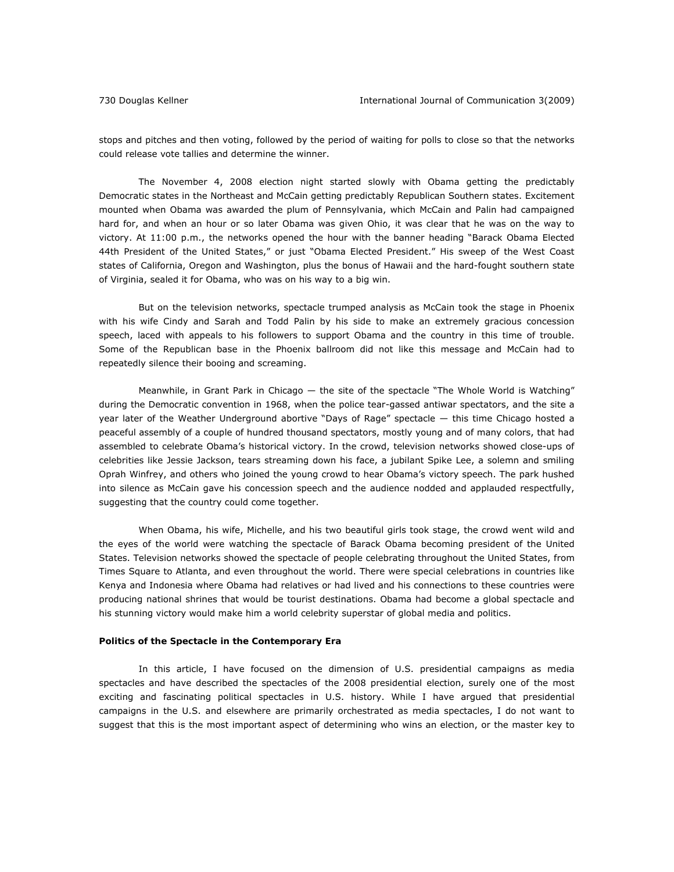stops and pitches and then voting, followed by the period of waiting for polls to close so that the networks could release vote tallies and determine the winner.

 The November 4, 2008 election night started slowly with Obama getting the predictably Democratic states in the Northeast and McCain getting predictably Republican Southern states. Excitement mounted when Obama was awarded the plum of Pennsylvania, which McCain and Palin had campaigned hard for, and when an hour or so later Obama was given Ohio, it was clear that he was on the way to victory. At 11:00 p.m., the networks opened the hour with the banner heading "Barack Obama Elected 44th President of the United States," or just "Obama Elected President." His sweep of the West Coast states of California, Oregon and Washington, plus the bonus of Hawaii and the hard-fought southern state of Virginia, sealed it for Obama, who was on his way to a big win.

 But on the television networks, spectacle trumped analysis as McCain took the stage in Phoenix with his wife Cindy and Sarah and Todd Palin by his side to make an extremely gracious concession speech, laced with appeals to his followers to support Obama and the country in this time of trouble. Some of the Republican base in the Phoenix ballroom did not like this message and McCain had to repeatedly silence their booing and screaming.

Meanwhile, in Grant Park in Chicago — the site of the spectacle "The Whole World is Watching" during the Democratic convention in 1968, when the police tear-gassed antiwar spectators, and the site a year later of the Weather Underground abortive "Days of Rage" spectacle — this time Chicago hosted a peaceful assembly of a couple of hundred thousand spectators, mostly young and of many colors, that had assembled to celebrate Obama's historical victory. In the crowd, television networks showed close-ups of celebrities like Jessie Jackson, tears streaming down his face, a jubilant Spike Lee, a solemn and smiling Oprah Winfrey, and others who joined the young crowd to hear Obama's victory speech. The park hushed into silence as McCain gave his concession speech and the audience nodded and applauded respectfully, suggesting that the country could come together.

 When Obama, his wife, Michelle, and his two beautiful girls took stage, the crowd went wild and the eyes of the world were watching the spectacle of Barack Obama becoming president of the United States. Television networks showed the spectacle of people celebrating throughout the United States, from Times Square to Atlanta, and even throughout the world. There were special celebrations in countries like Kenya and Indonesia where Obama had relatives or had lived and his connections to these countries were producing national shrines that would be tourist destinations. Obama had become a global spectacle and his stunning victory would make him a world celebrity superstar of global media and politics.

# *Politics of the Spectacle in the Contemporary Era*

 In this article, I have focused on the dimension of U.S. presidential campaigns as media spectacles and have described the spectacles of the 2008 presidential election, surely one of the most exciting and fascinating political spectacles in U.S. history. While I have argued that presidential campaigns in the U.S. and elsewhere are primarily orchestrated as media spectacles, I do not want to suggest that this is the most important aspect of determining who wins an election, or the master key to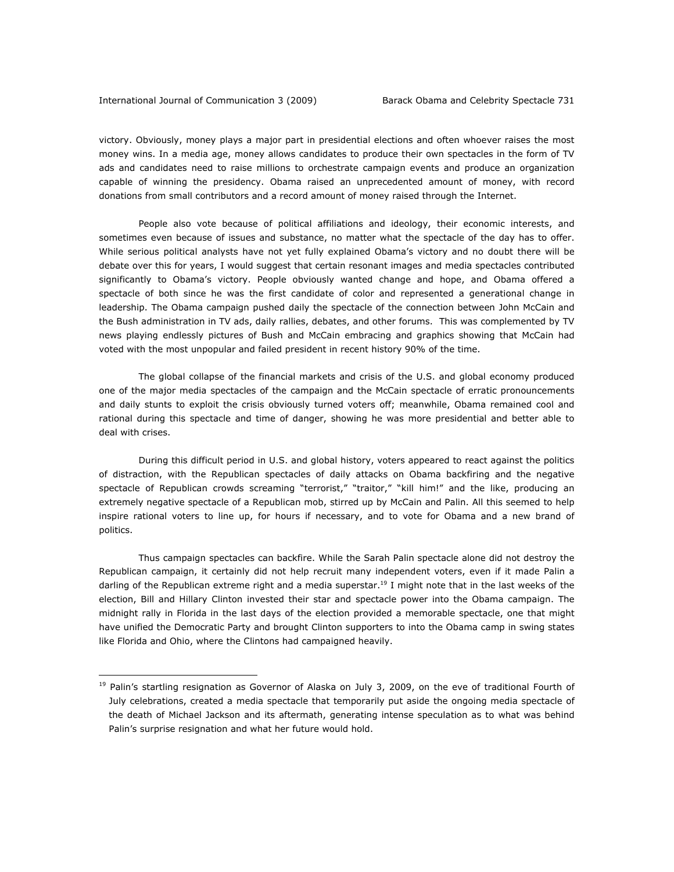victory. Obviously, money plays a major part in presidential elections and often whoever raises the most money wins. In a media age, money allows candidates to produce their own spectacles in the form of TV ads and candidates need to raise millions to orchestrate campaign events and produce an organization capable of winning the presidency. Obama raised an unprecedented amount of money, with record donations from small contributors and a record amount of money raised through the Internet.

 People also vote because of political affiliations and ideology, their economic interests, and sometimes even because of issues and substance, no matter what the spectacle of the day has to offer. While serious political analysts have not yet fully explained Obama's victory and no doubt there will be debate over this for years, I would suggest that certain resonant images and media spectacles contributed significantly to Obama's victory. People obviously wanted change and hope, and Obama offered a spectacle of both since he was the first candidate of color and represented a generational change in leadership. The Obama campaign pushed daily the spectacle of the connection between John McCain and the Bush administration in TV ads, daily rallies, debates, and other forums. This was complemented by TV news playing endlessly pictures of Bush and McCain embracing and graphics showing that McCain had voted with the most unpopular and failed president in recent history 90% of the time.

 The global collapse of the financial markets and crisis of the U.S. and global economy produced one of the major media spectacles of the campaign and the McCain spectacle of erratic pronouncements and daily stunts to exploit the crisis obviously turned voters off; meanwhile, Obama remained cool and rational during this spectacle and time of danger, showing he was more presidential and better able to deal with crises.

 During this difficult period in U.S. and global history, voters appeared to react against the politics of distraction, with the Republican spectacles of daily attacks on Obama backfiring and the negative spectacle of Republican crowds screaming "terrorist," "traitor," "kill him!" and the like, producing an extremely negative spectacle of a Republican mob, stirred up by McCain and Palin. All this seemed to help inspire rational voters to line up, for hours if necessary, and to vote for Obama and a new brand of politics.

Thus campaign spectacles can backfire. While the Sarah Palin spectacle alone did not destroy the Republican campaign, it certainly did not help recruit many independent voters, even if it made Palin a darling of the Republican extreme right and a media superstar.<sup>19</sup> I might note that in the last weeks of the election, Bill and Hillary Clinton invested their star and spectacle power into the Obama campaign. The midnight rally in Florida in the last days of the election provided a memorable spectacle, one that might have unified the Democratic Party and brought Clinton supporters to into the Obama camp in swing states like Florida and Ohio, where the Clintons had campaigned heavily.

<sup>&</sup>lt;sup>19</sup> Palin's startling resignation as Governor of Alaska on July 3, 2009, on the eve of traditional Fourth of July celebrations, created a media spectacle that temporarily put aside the ongoing media spectacle of the death of Michael Jackson and its aftermath, generating intense speculation as to what was behind Palin's surprise resignation and what her future would hold.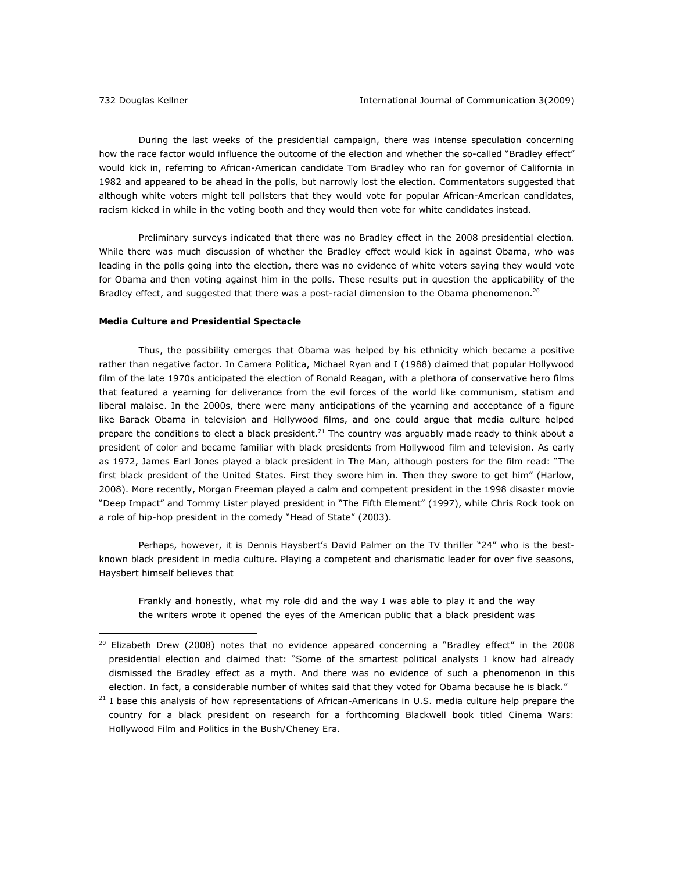During the last weeks of the presidential campaign, there was intense speculation concerning how the race factor would influence the outcome of the election and whether the so-called "Bradley effect" would kick in, referring to African-American candidate Tom Bradley who ran for governor of California in 1982 and appeared to be ahead in the polls, but narrowly lost the election. Commentators suggested that although white voters might tell pollsters that they would vote for popular African-American candidates, racism kicked in while in the voting booth and they would then vote for white candidates instead.

Preliminary surveys indicated that there was no Bradley effect in the 2008 presidential election. While there was much discussion of whether the Bradley effect would kick in against Obama, who was leading in the polls going into the election, there was no evidence of white voters saying they would vote for Obama and then voting against him in the polls. These results put in question the applicability of the Bradley effect, and suggested that there was a post-racial dimension to the Obama phenomenon.<sup>20</sup>

# *Media Culture and Presidential Spectacle*

Thus, the possibility emerges that Obama was helped by his ethnicity which became a positive rather than negative factor. In *Camera Politica*, Michael Ryan and I (1988) claimed that popular Hollywood film of the late 1970s anticipated the election of Ronald Reagan, with a plethora of conservative hero films that featured a yearning for deliverance from the evil forces of the world like communism, statism and liberal malaise. In the 2000s, there were many anticipations of the yearning and acceptance of a figure like Barack Obama in television and Hollywood films, and one could argue that media culture helped prepare the conditions to elect a black president.<sup>21</sup> The country was arquably made ready to think about a president of color and became familiar with black presidents from Hollywood film and television. As early as 1972, James Earl Jones played a black president in *The Man*, although posters for the film read: "The first black president of the United States. First they swore him in. Then they swore to get him" (Harlow, 2008). More recently, Morgan Freeman played a calm and competent president in the 1998 disaster movie "Deep Impact" and Tommy Lister played president in "The Fifth Element" (1997), while Chris Rock took on a role of hip-hop president in the comedy "Head of State" (2003).

Perhaps, however, it is Dennis Haysbert's David Palmer on the TV thriller "24" who is the bestknown black president in media culture. Playing a competent and charismatic leader for over five seasons, Haysbert himself believes that

Frankly and honestly, what my role did and the way I was able to play it and the way the writers wrote it opened the eyes of the American public that a black president was

 $20$  Elizabeth Drew (2008) notes that no evidence appeared concerning a "Bradley effect" in the 2008 presidential election and claimed that: "Some of the smartest political analysts I know had already dismissed the Bradley effect as a myth. And there was no evidence of such a phenomenon in this election. In fact, a considerable number of whites said that they voted for Obama because he is black."

 $21$  I base this analysis of how representations of African-Americans in U.S. media culture help prepare the country for a black president on research for a forthcoming Blackwell book titled *Cinema Wars: Hollywood Film and Politics in the Bush/Cheney Era*.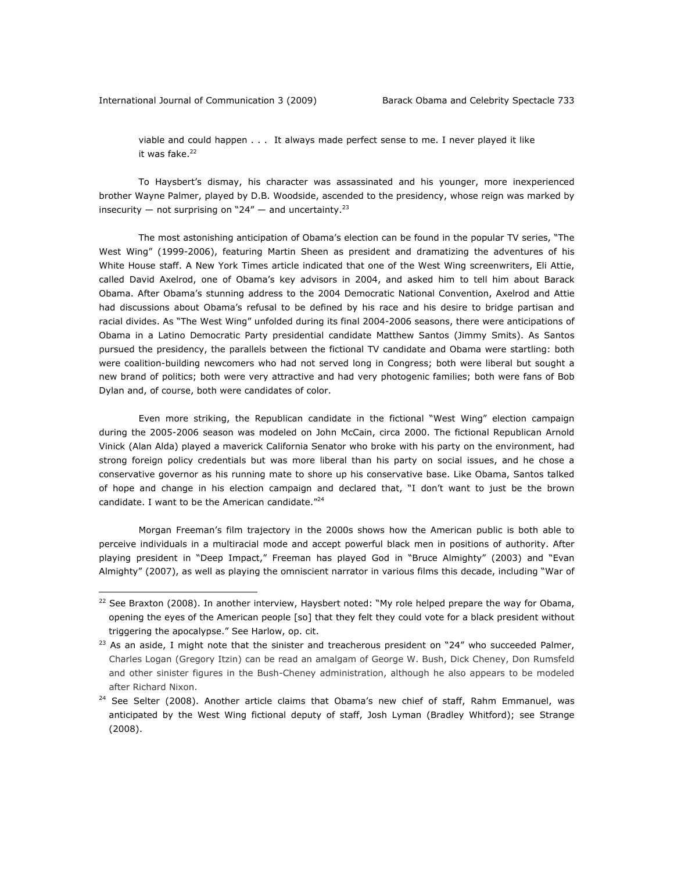viable and could happen . . . It always made perfect sense to me. I never played it like it was fake.<sup>22</sup>

To Haysbert's dismay, his character was assassinated and his younger, more inexperienced brother Wayne Palmer, played by D.B. Woodside, ascended to the presidency, whose reign was marked by insecurity — not surprising on "24" — and uncertainty.<sup>23</sup>

The most astonishing anticipation of Obama's election can be found in the popular TV series, "The West Wing" (1999-2006), featuring Martin Sheen as president and dramatizing the adventures of his White House staff. A *New York Times* article indicated that one of the West Wing screenwriters, Eli Attie, called David Axelrod, one of Obama's key advisors in 2004, and asked him to tell him about Barack Obama. After Obama's stunning address to the 2004 Democratic National Convention, Axelrod and Attie had discussions about Obama's refusal to be defined by his race and his desire to bridge partisan and racial divides. As "The West Wing" unfolded during its final 2004-2006 seasons, there were anticipations of Obama in a Latino Democratic Party presidential candidate Matthew Santos (Jimmy Smits). As Santos pursued the presidency, the parallels between the fictional TV candidate and Obama were startling: both were coalition-building newcomers who had not served long in Congress; both were liberal but sought a new brand of politics; both were very attractive and had very photogenic families; both were fans of Bob Dylan and, of course, both were candidates of color.

Even more striking, the Republican candidate in the fictional "West Wing" election campaign during the 2005-2006 season was modeled on John McCain, circa 2000. The fictional Republican Arnold Vinick (Alan Alda) played a maverick California Senator who broke with his party on the environment, had strong foreign policy credentials but was more liberal than his party on social issues, and he chose a conservative governor as his running mate to shore up his conservative base. Like Obama, Santos talked of hope and change in his election campaign and declared that, "I don't want to just be the brown candidate. I want to be the American candidate."<sup>24</sup>

Morgan Freeman's film trajectory in the 2000s shows how the American public is both able to perceive individuals in a multiracial mode and accept powerful black men in positions of authority. After playing president in "Deep Impact," Freeman has played God in "Bruce Almighty" (2003) and "Evan Almighty" (2007), as well as playing the omniscient narrator in various films this decade, including "War of

 $22$  See Braxton (2008). In another interview, Haysbert noted: "My role helped prepare the way for Obama, opening the eyes of the American people [so] that they felt they could vote for a black president without triggering the apocalypse." See Harlow, op. cit.

 $23$  As an aside, I might note that the sinister and treacherous president on "24" who succeeded Palmer, Charles Logan (Gregory Itzin) can be read an amalgam of George W. Bush, Dick Cheney, Don Rumsfeld and other sinister figures in the Bush-Cheney administration, although he also appears to be modeled after Richard Nixon.

<sup>&</sup>lt;sup>24</sup> See Selter (2008). Another article claims that Obama's new chief of staff, Rahm Emmanuel, was anticipated by the West Wing fictional deputy of staff, Josh Lyman (Bradley Whitford); see Strange (2008).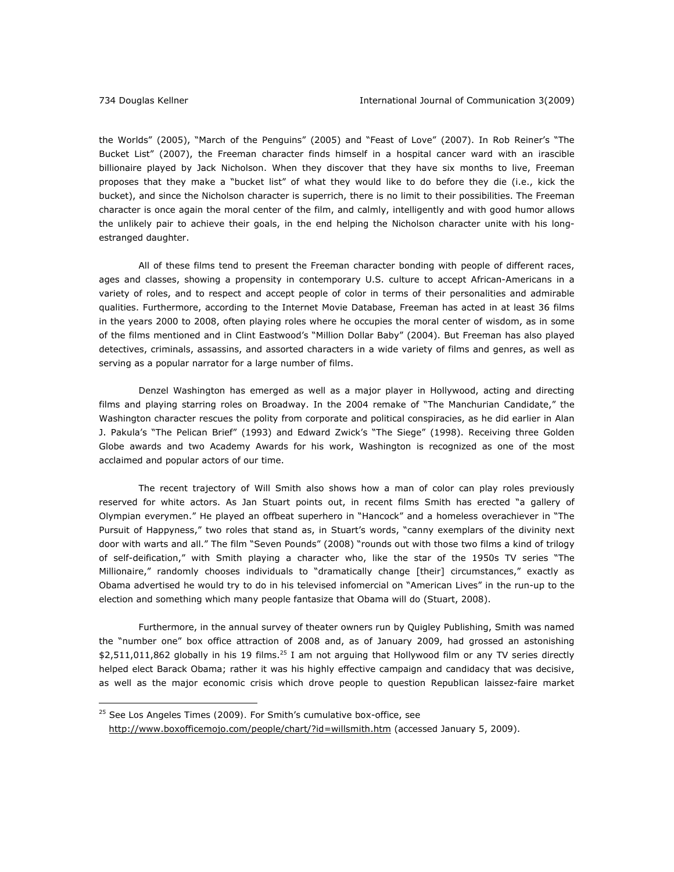the Worlds" (2005), "March of the Penguins" (2005) and "Feast of Love" (2007). In Rob Reiner's "The Bucket List" (2007), the Freeman character finds himself in a hospital cancer ward with an irascible billionaire played by Jack Nicholson. When they discover that they have six months to live, Freeman proposes that they make a "bucket list" of what they would like to do before they die (i.e., kick the bucket), and since the Nicholson character is superrich, there is no limit to their possibilities. The Freeman character is once again the moral center of the film, and calmly, intelligently and with good humor allows the unlikely pair to achieve their goals, in the end helping the Nicholson character unite with his longestranged daughter.

All of these films tend to present the Freeman character bonding with people of different races, ages and classes, showing a propensity in contemporary U.S. culture to accept African-Americans in a variety of roles, and to respect and accept people of color in terms of their personalities and admirable qualities. Furthermore, according to the Internet Movie Database, Freeman has acted in at least 36 films in the years 2000 to 2008, often playing roles where he occupies the moral center of wisdom, as in some of the films mentioned and in Clint Eastwood's "Million Dollar Baby" (2004). But Freeman has also played detectives, criminals, assassins, and assorted characters in a wide variety of films and genres, as well as serving as a popular narrator for a large number of films.

 Denzel Washington has emerged as well as a major player in Hollywood, acting and directing films and playing starring roles on Broadway. In the 2004 remake of "The Manchurian Candidate," the Washington character rescues the polity from corporate and political conspiracies, as he did earlier in Alan J. Pakula's "The Pelican Brief" (1993) and Edward Zwick's "The Siege" (1998). Receiving three Golden Globe awards and two Academy Awards for his work, Washington is recognized as one of the most acclaimed and popular actors of our time.

The recent trajectory of Will Smith also shows how a man of color can play roles previously reserved for white actors. As Jan Stuart points out, in recent films Smith has erected "a gallery of Olympian everymen." He played an offbeat superhero in "Hancock" and a homeless overachiever in "The Pursuit of Happyness," two roles that stand as, in Stuart's words, "canny exemplars of the divinity next door with warts and all." The film "Seven Pounds" (2008) "rounds out with those two films a kind of trilogy of self-deification," with Smith playing a character who, like the star of the 1950s TV series "The Millionaire," randomly chooses individuals to "dramatically change [their] circumstances," exactly as Obama advertised he would try to do in his televised infomercial on "American Lives" in the run-up to the election and something which many people fantasize that Obama will do (Stuart, 2008).

Furthermore, in the annual survey of theater owners run by Quigley Publishing, Smith was named the "number one" box office attraction of 2008 and, as of January 2009, had grossed an astonishing  $$2,511,011,862$  globally in his 19 films.<sup>25</sup> I am not arguing that Hollywood film or any TV series directly helped elect Barack Obama; rather it was his highly effective campaign and candidacy that was decisive, as well as the major economic crisis which drove people to question Republican laissez-faire market

 $\overline{a}$ 

<sup>25</sup> See *Los Angeles Times (2009).* For Smith's cumulative box-office, see

http://www.boxofficemojo.com/people/chart/?id=willsmith.htm (accessed January 5, 2009).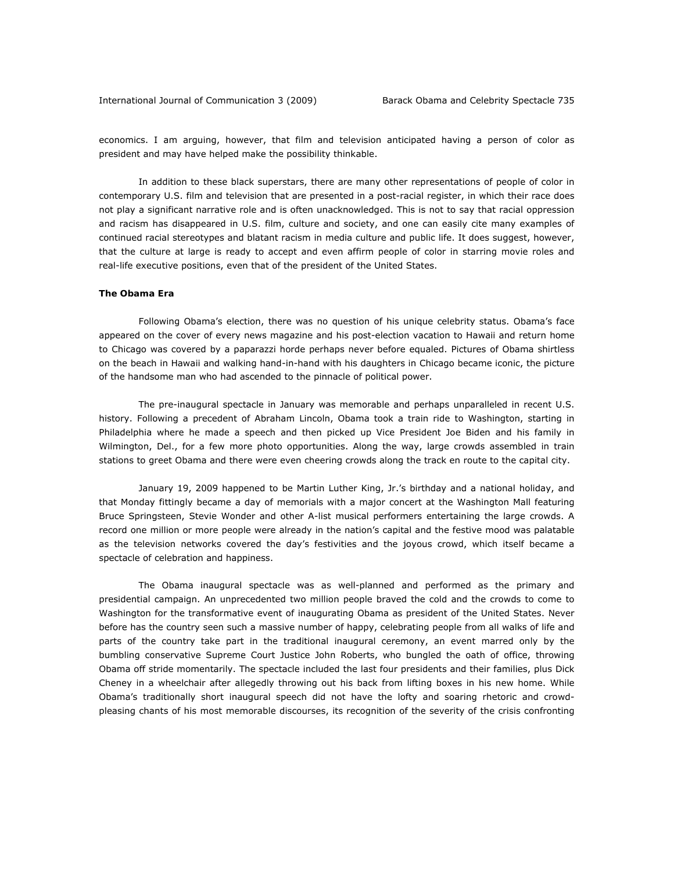economics. I am arguing, however, that film and television anticipated having a person of color as president and may have helped make the possibility thinkable.

In addition to these black superstars, there are many other representations of people of color in contemporary U.S. film and television that are presented in a post-racial register, in which their race does not play a significant narrative role and is often unacknowledged. This is not to say that racial oppression and racism has disappeared in U.S. film, culture and society, and one can easily cite many examples of continued racial stereotypes and blatant racism in media culture and public life. It does suggest, however, that the culture at large is ready to accept and even affirm people of color in starring movie roles and real-life executive positions, even that of the president of the United States.

#### *The Obama Era*

Following Obama's election, there was no question of his unique celebrity status. Obama's face appeared on the cover of every news magazine and his post-election vacation to Hawaii and return home to Chicago was covered by a paparazzi horde perhaps never before equaled. Pictures of Obama shirtless on the beach in Hawaii and walking hand-in-hand with his daughters in Chicago became iconic, the picture of the handsome man who had ascended to the pinnacle of political power.

The pre-inaugural spectacle in January was memorable and perhaps unparalleled in recent U.S. history. Following a precedent of Abraham Lincoln, Obama took a train ride to Washington, starting in Philadelphia where he made a speech and then picked up Vice President Joe Biden and his family in Wilmington, Del., for a few more photo opportunities. Along the way, large crowds assembled in train stations to greet Obama and there were even cheering crowds along the track en route to the capital city.

 January 19, 2009 happened to be Martin Luther King, Jr.'s birthday and a national holiday, and that Monday fittingly became a day of memorials with a major concert at the Washington Mall featuring Bruce Springsteen, Stevie Wonder and other A-list musical performers entertaining the large crowds. A record one million or more people were already in the nation's capital and the festive mood was palatable as the television networks covered the day's festivities and the joyous crowd, which itself became a spectacle of celebration and happiness.

 The Obama inaugural spectacle was as well-planned and performed as the primary and presidential campaign. An unprecedented two million people braved the cold and the crowds to come to Washington for the transformative event of inaugurating Obama as president of the United States. Never before has the country seen such a massive number of happy, celebrating people from all walks of life and parts of the country take part in the traditional inaugural ceremony, an event marred only by the bumbling conservative Supreme Court Justice John Roberts, who bungled the oath of office, throwing Obama off stride momentarily. The spectacle included the last four presidents and their families, plus Dick Cheney in a wheelchair after allegedly throwing out his back from lifting boxes in his new home. While Obama's traditionally short inaugural speech did not have the lofty and soaring rhetoric and crowdpleasing chants of his most memorable discourses, its recognition of the severity of the crisis confronting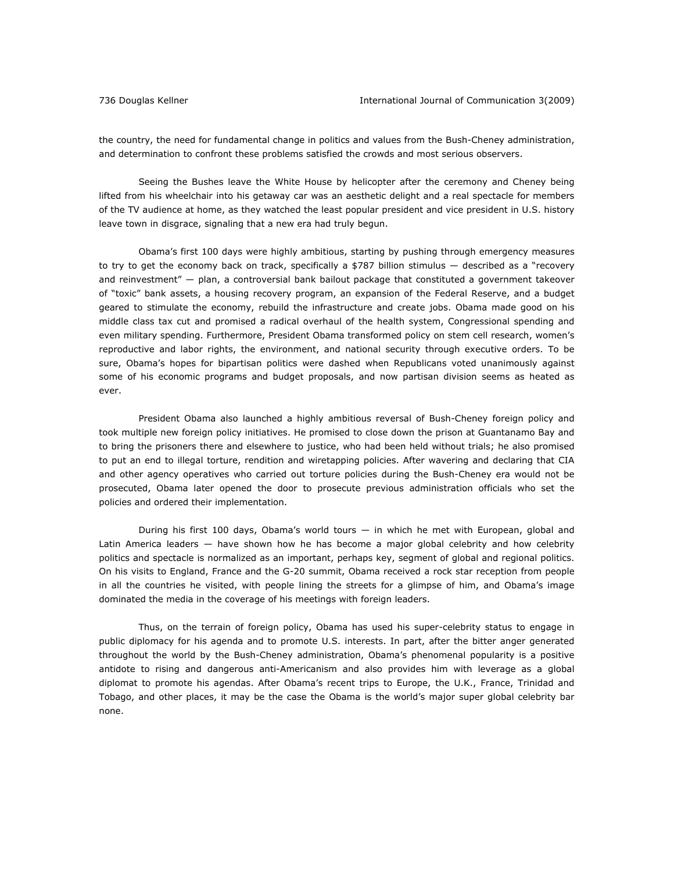the country, the need for fundamental change in politics and values from the Bush-Cheney administration, and determination to confront these problems satisfied the crowds and most serious observers.

Seeing the Bushes leave the White House by helicopter after the ceremony and Cheney being lifted from his wheelchair into his getaway car was an aesthetic delight and a real spectacle for members of the TV audience at home, as they watched the least popular president and vice president in U.S. history leave town in disgrace, signaling that a new era had truly begun.

Obama's first 100 days were highly ambitious, starting by pushing through emergency measures to try to get the economy back on track, specifically a \$787 billion stimulus — described as a "recovery and reinvestment" — plan, a controversial bank bailout package that constituted a government takeover of "toxic" bank assets, a housing recovery program, an expansion of the Federal Reserve, and a budget geared to stimulate the economy, rebuild the infrastructure and create jobs. Obama made good on his middle class tax cut and promised a radical overhaul of the health system, Congressional spending and even military spending. Furthermore, President Obama transformed policy on stem cell research, women's reproductive and labor rights, the environment, and national security through executive orders. To be sure, Obama's hopes for bipartisan politics were dashed when Republicans voted unanimously against some of his economic programs and budget proposals, and now partisan division seems as heated as ever.

President Obama also launched a highly ambitious reversal of Bush-Cheney foreign policy and took multiple new foreign policy initiatives. He promised to close down the prison at Guantanamo Bay and to bring the prisoners there and elsewhere to justice, who had been held without trials; he also promised to put an end to illegal torture, rendition and wiretapping policies. After wavering and declaring that CIA and other agency operatives who carried out torture policies during the Bush-Cheney era would not be prosecuted, Obama later opened the door to prosecute previous administration officials who set the policies and ordered their implementation.

During his first 100 days, Obama's world tours — in which he met with European, global and Latin America leaders — have shown how he has become a major global celebrity and how celebrity politics and spectacle is normalized as an important, perhaps key, segment of global and regional politics. On his visits to England, France and the G-20 summit, Obama received a rock star reception from people in all the countries he visited, with people lining the streets for a glimpse of him, and Obama's image dominated the media in the coverage of his meetings with foreign leaders.

Thus, on the terrain of foreign policy, Obama has used his super-celebrity status to engage in public diplomacy for his agenda and to promote U.S. interests. In part, after the bitter anger generated throughout the world by the Bush-Cheney administration, Obama's phenomenal popularity is a positive antidote to rising and dangerous anti-Americanism and also provides him with leverage as a global diplomat to promote his agendas. After Obama's recent trips to Europe, the U.K., France, Trinidad and Tobago, and other places, it may be the case the Obama is the world's major super global celebrity bar none.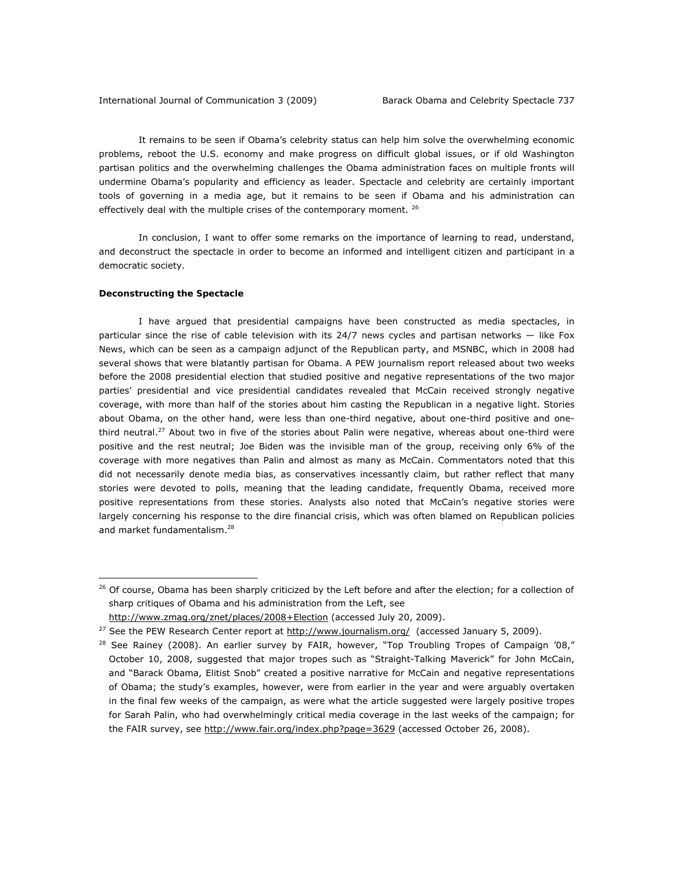It remains to be seen if Obama's celebrity status can help him solve the overwhelming economic problems, reboot the U.S. economy and make progress on difficult global issues, or if old Washington partisan politics and the overwhelming challenges the Obama administration faces on multiple fronts will undermine Obama's popularity and efficiency as leader. Spectacle and celebrity are certainly important tools of governing in a media age, but it remains to be seen if Obama and his administration can effectively deal with the multiple crises of the contemporary moment. <sup>26</sup>

In conclusion, I want to offer some remarks on the importance of learning to read, understand, and deconstruct the spectacle in order to become an informed and intelligent citizen and participant in a democratic society.

# *Deconstructing the Spectacle*

 $\overline{a}$ 

 I have argued that presidential campaigns have been constructed as media spectacles, in particular since the rise of cable television with its 24/7 news cycles and partisan networks — like Fox News, which can be seen as a campaign adjunct of the Republican party, and MSNBC, which in 2008 had several shows that were blatantly partisan for Obama. A PEW journalism report released about two weeks before the 2008 presidential election that studied positive and negative representations of the two major parties' presidential and vice presidential candidates revealed that McCain received strongly negative coverage, with more than half of the stories about him casting the Republican in a negative light. Stories about Obama, on the other hand, were less than one-third negative, about one-third positive and onethird neutral.<sup>27</sup> About two in five of the stories about Palin were negative, whereas about one-third were positive and the rest neutral; Joe Biden was the invisible man of the group, receiving only 6% of the coverage with more negatives than Palin and almost as many as McCain. Commentators noted that this did not necessarily denote media bias, as conservatives incessantly claim, but rather reflect that many stories were devoted to polls, meaning that the leading candidate, frequently Obama, received more positive representations from these stories. Analysts also noted that McCain's negative stories were largely concerning his response to the dire financial crisis, which was often blamed on Republican policies and market fundamentalism.<sup>28</sup>

<sup>&</sup>lt;sup>26</sup> Of course, Obama has been sharply criticized by the Left before and after the election; for a collection of sharp critiques of Obama and his administration from the Left, see

http://www.zmag.org/znet/places/2008+Election (accessed July 20, 2009).

<sup>&</sup>lt;sup>27</sup> See the PEW Research Center report at  $\frac{http://www.journalism.org/}{http://www.journalism.org/}$  (accessed January 5, 2009).

 $28$  See Rainey (2008). An earlier survey by FAIR, however, "Top Troubling Tropes of Campaign '08," October 10, 2008, suggested that major tropes such as "Straight-Talking Maverick" for John McCain, and "Barack Obama, Elitist Snob" created a positive narrative for McCain and negative representations of Obama; the study's examples, however, were from earlier in the year and were arguably overtaken in the final few weeks of the campaign, as were what the article suggested were largely positive tropes for Sarah Palin, who had overwhelmingly critical media coverage in the last weeks of the campaign; for the FAIR survey, see http://www.fair.org/index.php?page=3629 (accessed October 26, 2008).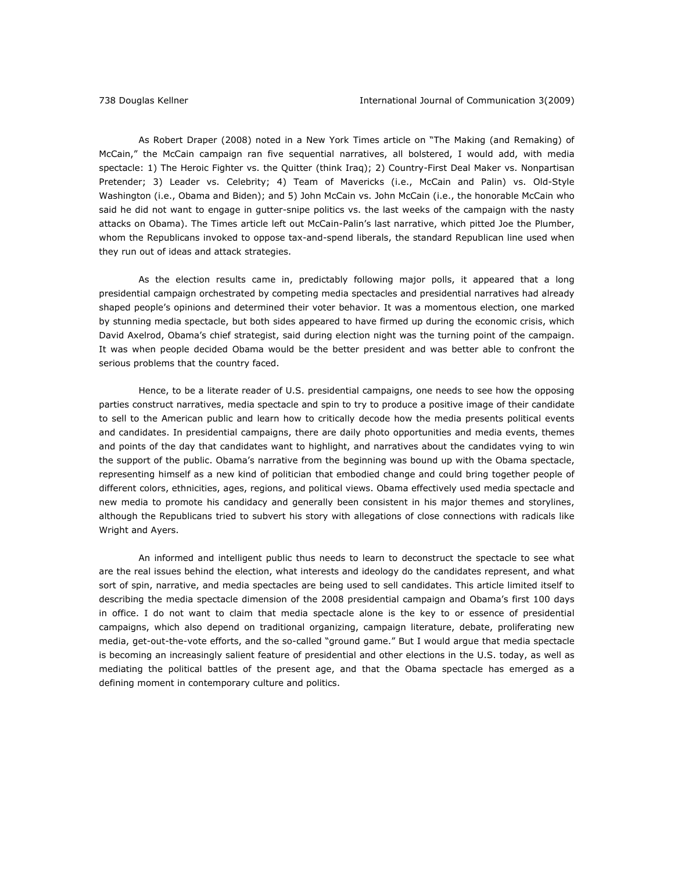As Robert Draper (2008) noted in a *New York Times* article on "The Making (and Remaking) of McCain," the McCain campaign ran five sequential narratives, all bolstered, I would add, with media spectacle: 1) The Heroic Fighter vs. the Quitter (think Iraq); 2) Country-First Deal Maker vs. Nonpartisan Pretender; 3) Leader vs. Celebrity; 4) Team of Mavericks (i.e., McCain and Palin) vs. Old-Style Washington (i.e., Obama and Biden); and 5) John McCain vs. John McCain (i.e., the honorable McCain who said he did not want to engage in gutter-snipe politics vs. the last weeks of the campaign with the nasty attacks on Obama). *The Times* article left out McCain-Palin's last narrative, which pitted Joe the Plumber, whom the Republicans invoked to oppose tax-and-spend liberals, the standard Republican line used when they run out of ideas and attack strategies.

As the election results came in, predictably following major polls, it appeared that a long presidential campaign orchestrated by competing media spectacles and presidential narratives had already shaped people's opinions and determined their voter behavior. It was a momentous election, one marked by stunning media spectacle, but both sides appeared to have firmed up during the economic crisis, which David Axelrod, Obama's chief strategist, said during election night was the turning point of the campaign. It was when people decided Obama would be the better president and was better able to confront the serious problems that the country faced.

Hence, to be a literate reader of U.S. presidential campaigns, one needs to see how the opposing parties construct narratives, media spectacle and spin to try to produce a positive image of their candidate to sell to the American public and learn how to critically decode how the media presents political events and candidates. In presidential campaigns, there are daily photo opportunities and media events, themes and points of the day that candidates want to highlight, and narratives about the candidates vying to win the support of the public. Obama's narrative from the beginning was bound up with the Obama spectacle, representing himself as a new kind of politician that embodied change and could bring together people of different colors, ethnicities, ages, regions, and political views. Obama effectively used media spectacle and new media to promote his candidacy and generally been consistent in his major themes and storylines, although the Republicans tried to subvert his story with allegations of close connections with radicals like Wright and Ayers.

 An informed and intelligent public thus needs to learn to deconstruct the spectacle to see what are the real issues behind the election, what interests and ideology do the candidates represent, and what sort of spin, narrative, and media spectacles are being used to sell candidates. This article limited itself to describing the media spectacle dimension of the 2008 presidential campaign and Obama's first 100 days in office. I do not want to claim that media spectacle alone is the key to or essence of presidential campaigns, which also depend on traditional organizing, campaign literature, debate, proliferating new media, get-out-the-vote efforts, and the so-called "ground game." But I would argue that media spectacle is becoming an increasingly salient feature of presidential and other elections in the U.S. today, as well as mediating the political battles of the present age, and that the Obama spectacle has emerged as a defining moment in contemporary culture and politics.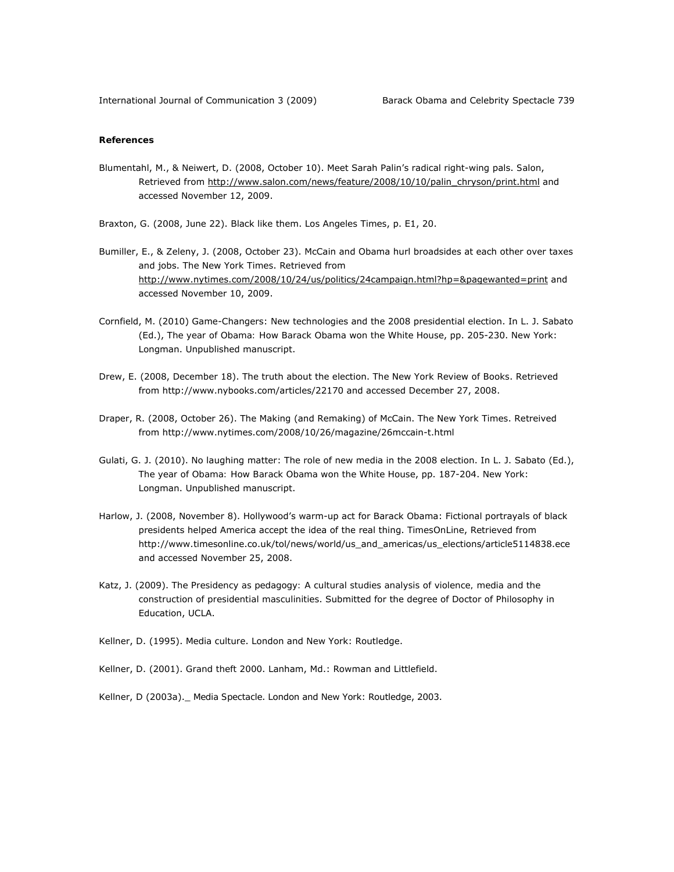# *References*

- Blumentahl, M., & Neiwert, D. (2008, October 10). Meet Sarah Palin's radical right-wing pals. *Salon*, Retrieved from http://www.salon.com/news/feature/2008/10/10/palin\_chryson/print.html and accessed November 12, 2009.
- Braxton, G. (2008, June 22). Black like them. *Los Angeles Times*, p. E1, 20.
- Bumiller, E., & Zeleny, J. (2008, October 23). McCain and Obama hurl broadsides at each other over taxes and jobs. *The New York Times*. Retrieved from http://www.nytimes.com/2008/10/24/us/politics/24campaign.html?hp=&pagewanted=print and accessed November 10, 2009.
- Cornfield, M. (2010) Game-Changers: New technologies and the 2008 presidential election. In L. J. Sabato (Ed.), *The year of Obama: How Barack Obama won the White House*, pp. 205-230. New York: Longman. Unpublished manuscript.
- Drew, E. (2008, December 18). The truth about the election. *The New York Review of Books*. Retrieved from http://www.nybooks.com/articles/22170 and accessed December 27, 2008.
- Draper, R. (2008, October 26). The Making (and Remaking) of McCain. *The New York Times*. Retreived from http://www.nytimes.com/2008/10/26/magazine/26mccain-t.html
- Gulati, G. J. (2010). No laughing matter: The role of new media in the 2008 election. In L. J. Sabato (Ed.), *The year of Obama: How Barack Obama won the White House*, pp. 187-204. New York: Longman. Unpublished manuscript.
- Harlow, J. (2008, November 8). Hollywood's warm-up act for Barack Obama: Fictional portrayals of black presidents helped America accept the idea of the real thing. *TimesOnLine*, Retrieved from http://www.timesonline.co.uk/tol/news/world/us\_and\_americas/us\_elections/article5114838.ece and accessed November 25, 2008.
- Katz, J. (2009). *The Presidency as pedagogy: A cultural studies analysis of violence, media and the construction of presidential masculinities*. Submitted for the degree of Doctor of Philosophy in Education, UCLA.
- Kellner, D. (1995). *Media culture*. London and New York: Routledge.
- Kellner, D. (2001). *Grand theft 2000*. Lanham, Md.: Rowman and Littlefield.
- Kellner, D (2003a).\_ *Media Spectacle*. London and New York: Routledge, 2003.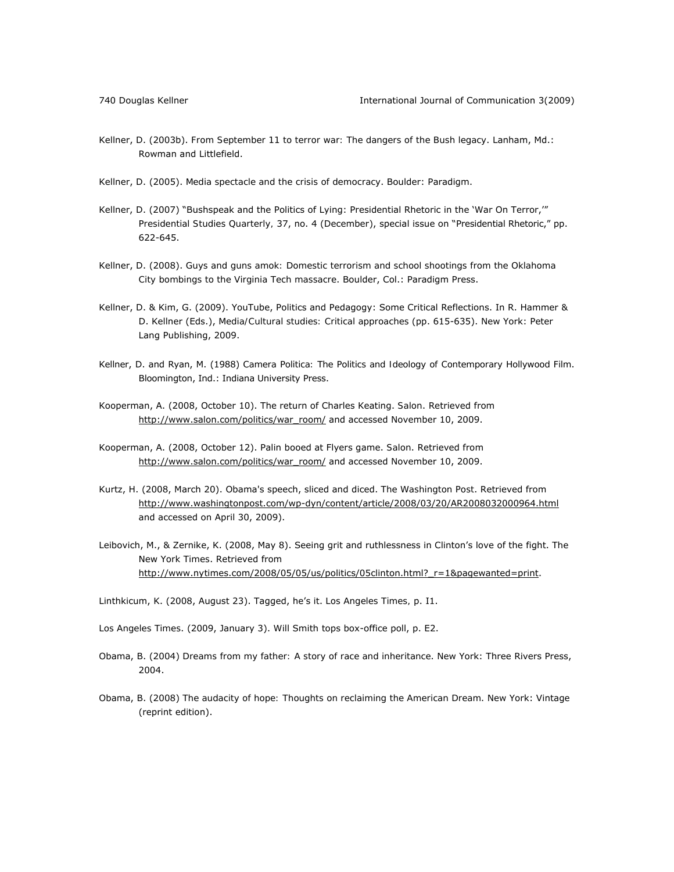- Kellner, D. (2003b). *From September 11 to terror war: The dangers of the Bush legacy*. Lanham, Md.: Rowman and Littlefield.
- Kellner, D. (2005). *Media spectacle and the crisis of democracy*. Boulder: Paradigm.
- Kellner, D. (2007) "Bushspeak and the Politics of Lying: Presidential Rhetoric in the 'War On Terror,'" *Presidential Studies Quarterly,* 37, no. 4 (December), special issue on "Presidential Rhetoric," pp. 622-645.
- Kellner, D. (2008). *Guys and guns amok: Domestic terrorism and school shootings from the Oklahoma City bombings to the Virginia Tech massacre*. Boulder, Col.: Paradigm Press.
- Kellner, D. & Kim, G. (2009). YouTube, Politics and Pedagogy: Some Critical Reflections. In R. Hammer & D. Kellner (Eds.), *Media/Cultural studies: Critical approaches* (pp. 615-635). New York: Peter Lang Publishing, 2009.
- Kellner, D. and Ryan, M. (1988) *Camera Politica: The Politics and Ideology of Contemporary Hollywood Film*. Bloomington, Ind.: Indiana University Press.
- Kooperman, A. (2008, October 10). The return of Charles Keating. *Salon*. Retrieved from http://www.salon.com/politics/war\_room/ and accessed November 10, 2009.
- Kooperman, A. (2008, October 12). Palin booed at Flyers game. *Salon*. Retrieved from http://www.salon.com/politics/war\_room/ and accessed November 10, 2009.
- Kurtz, H. (2008, March 20). Obama's speech, sliced and diced. *The Washington Post*. Retrieved from http://www.washingtonpost.com/wp-dyn/content/article/2008/03/20/AR2008032000964.html and accessed on April 30, 2009).
- Leibovich, M., & Zernike, K. (2008, May 8). Seeing grit and ruthlessness in Clinton's love of the fight. *The New York Times*. Retrieved from http://www.nytimes.com/2008/05/05/us/politics/05clinton.html?\_r=1&pagewanted=print.
- Linthkicum, K. (2008, August 23). Tagged, he's it. *Los Angeles Times,* p. I1.
- *Los Angeles Times*. (2009, January 3). Will Smith tops box-office poll, p. E2.
- Obama, B. (2004) *Dreams from my father: A story of race and inheritance*. New York: Three Rivers Press, 2004.
- Obama, B. (2008) *The audacity of hope: Thoughts on reclaiming the American Dream*. New York: Vintage (reprint edition).